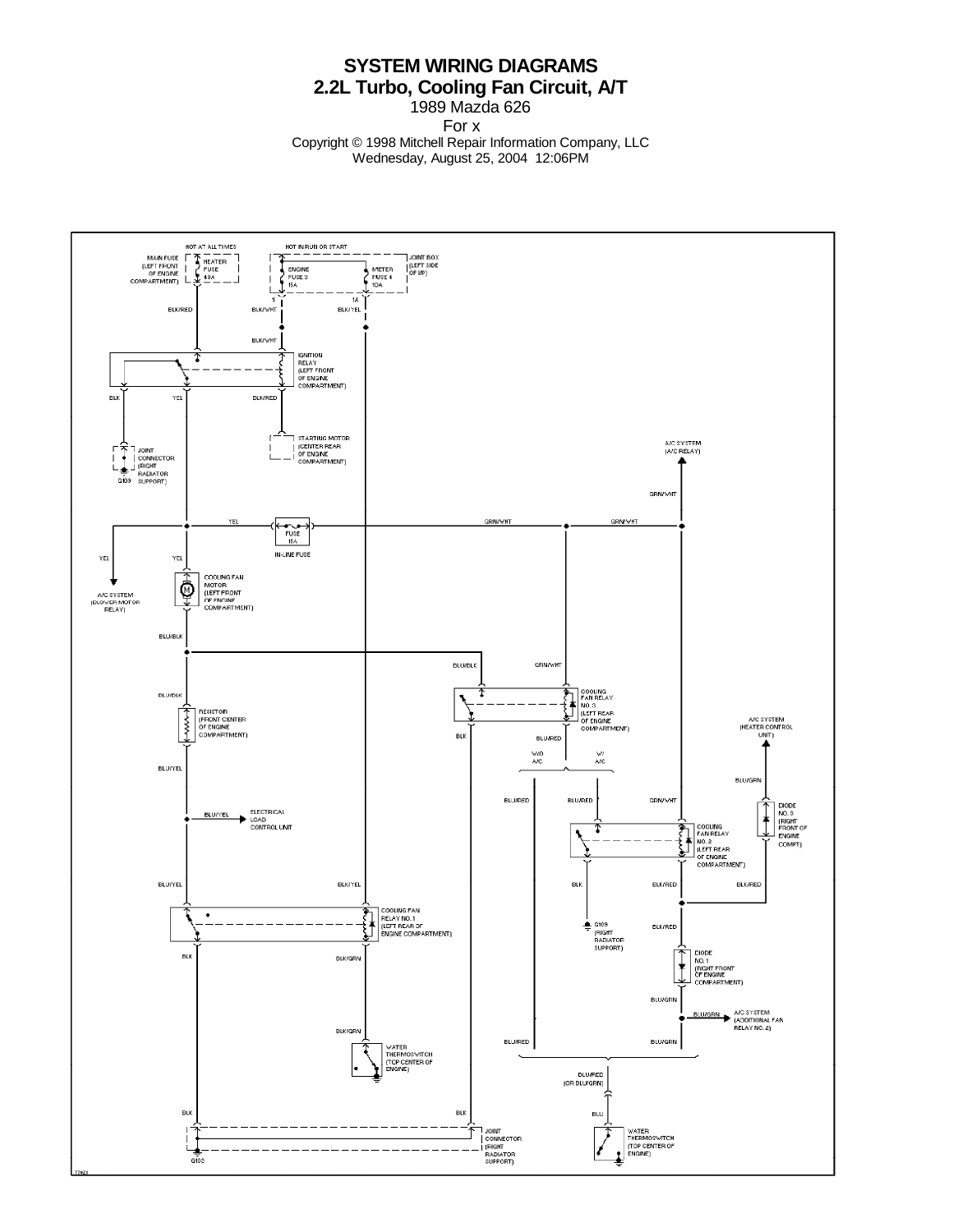## **SYSTEM WIRING DIAGRAMS 2.2L Turbo, Cooling Fan Circuit, A/T**

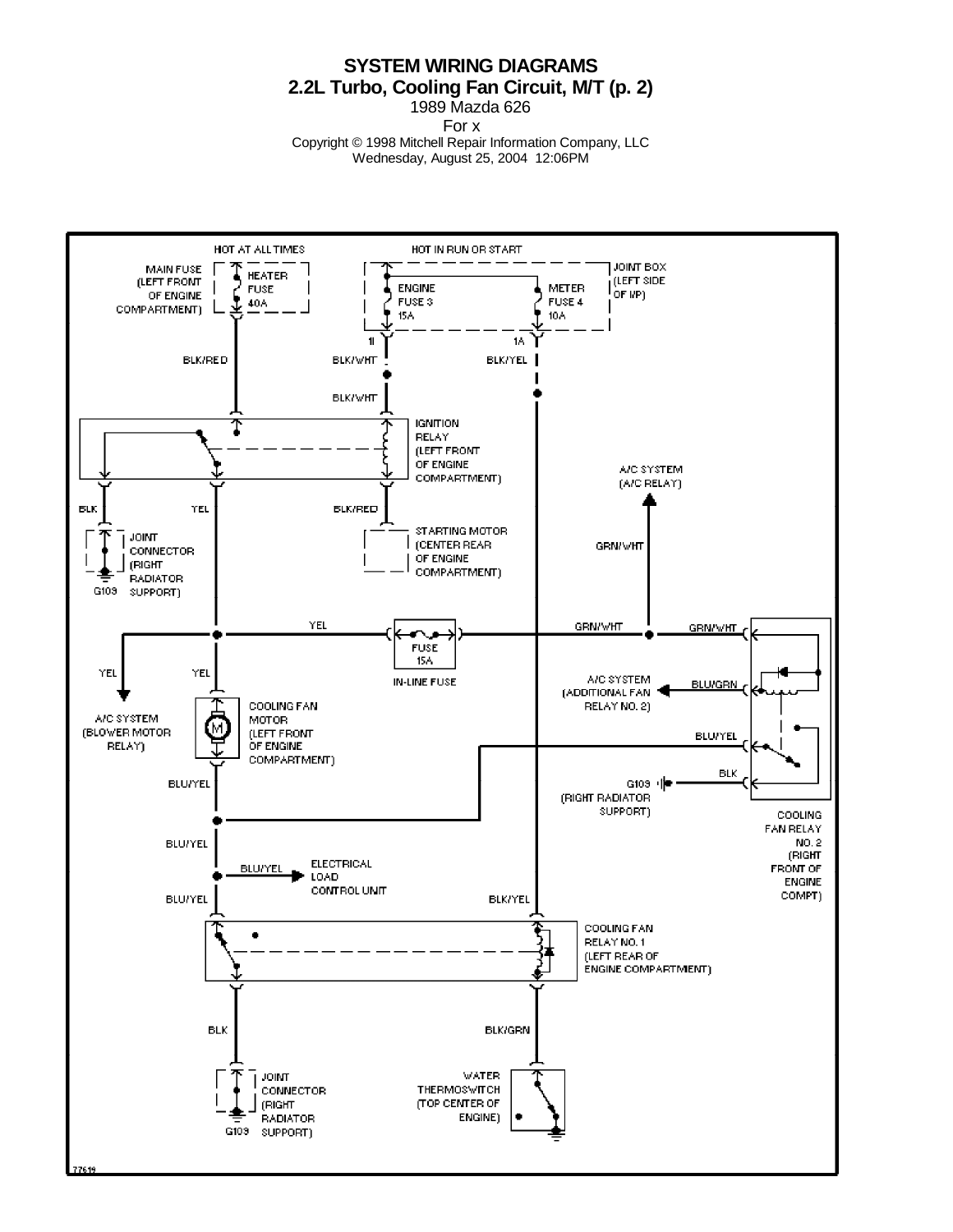**SYSTEM WIRING DIAGRAMS 2.2L Turbo, Cooling Fan Circuit, M/T (p. 2)**

1989 Mazda 626

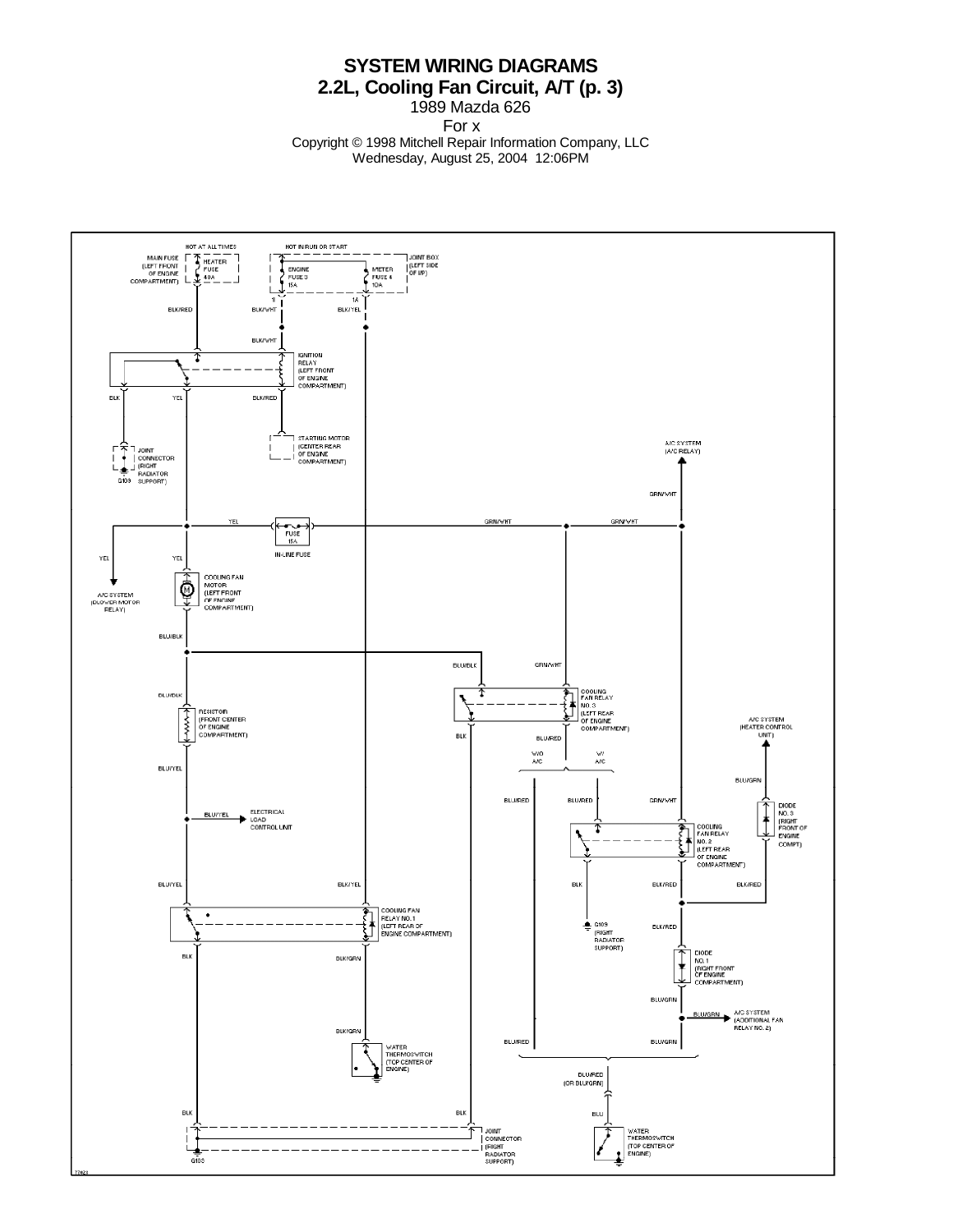## **SYSTEM WIRING DIAGRAMS 2.2L, Cooling Fan Circuit, A/T (p. 3)**

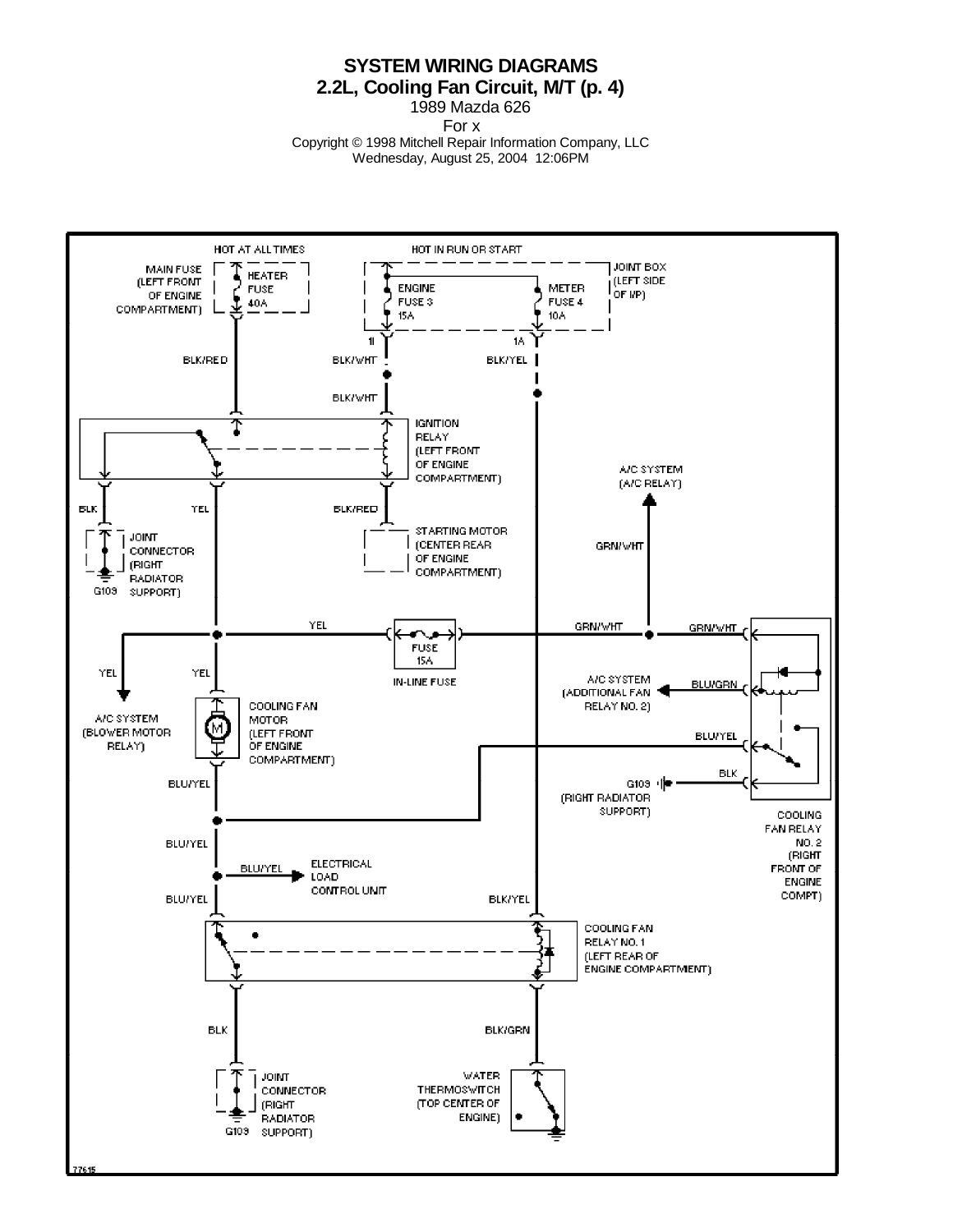**SYSTEM WIRING DIAGRAMS 2.2L, Cooling Fan Circuit, M/T (p. 4)**

1989 Mazda 626

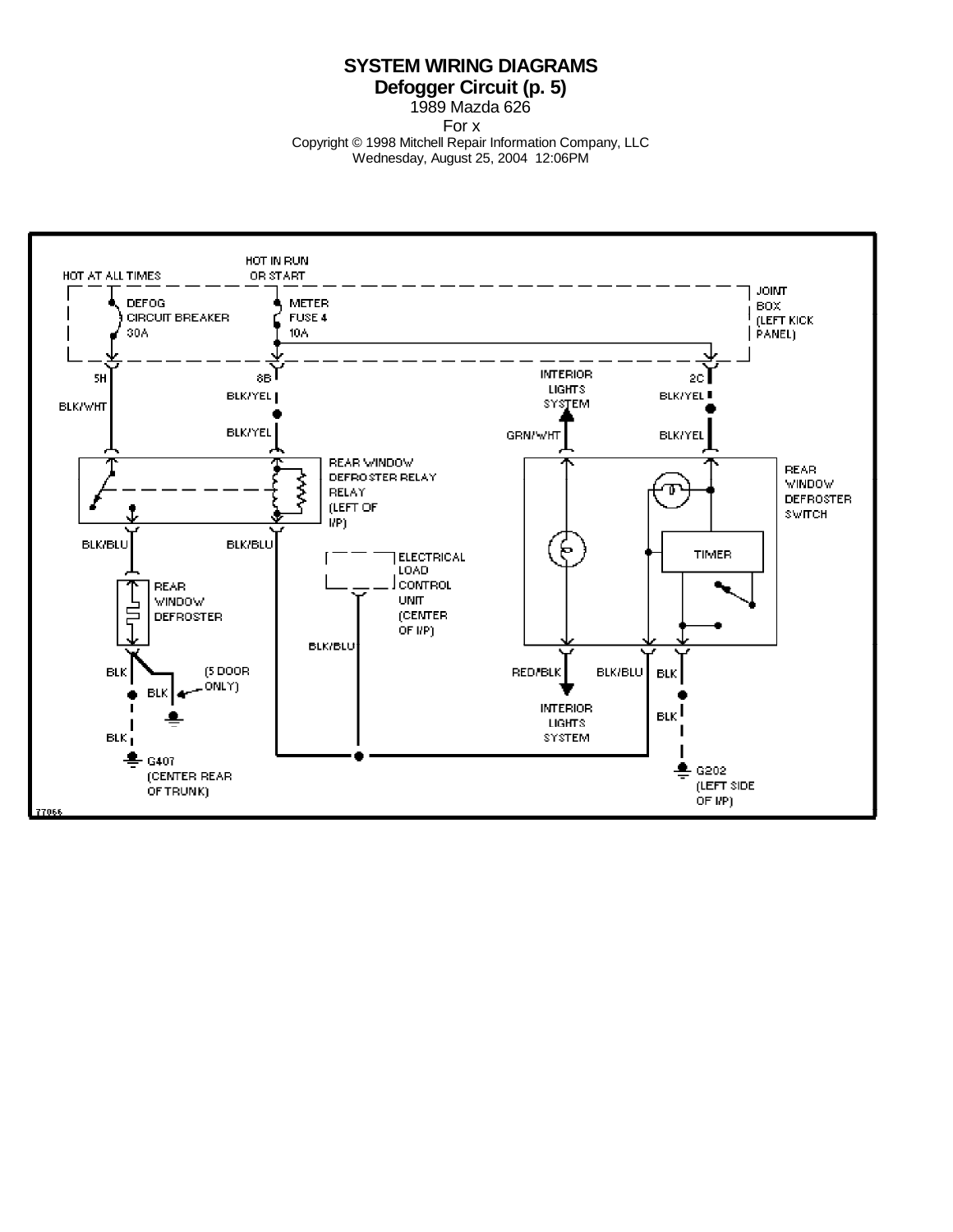## **SYSTEM WIRING DIAGRAMS Defogger Circuit (p. 5)**

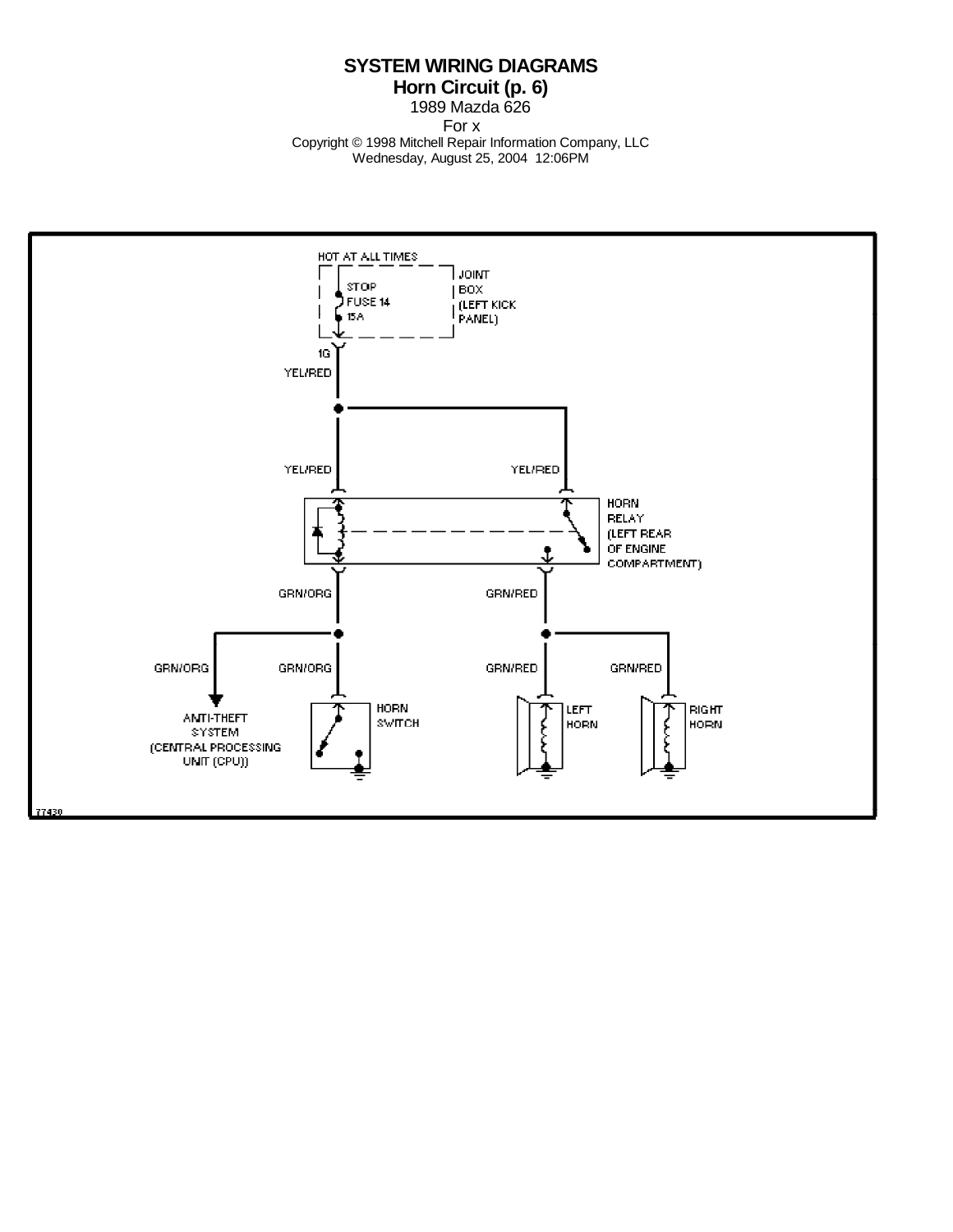**SYSTEM WIRING DIAGRAMS Horn Circuit (p. 6)**

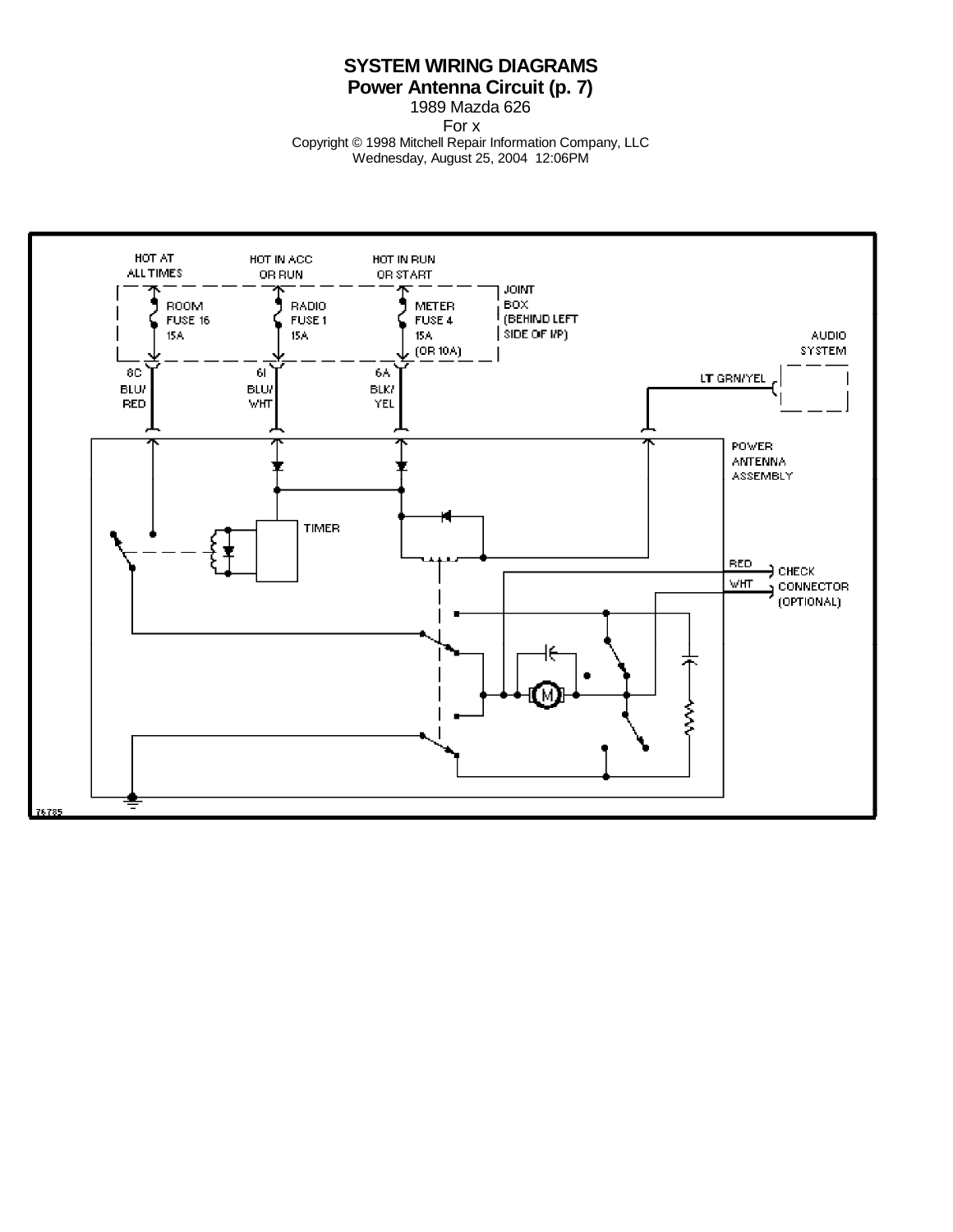## **SYSTEM WIRING DIAGRAMS Power Antenna Circuit (p. 7)**

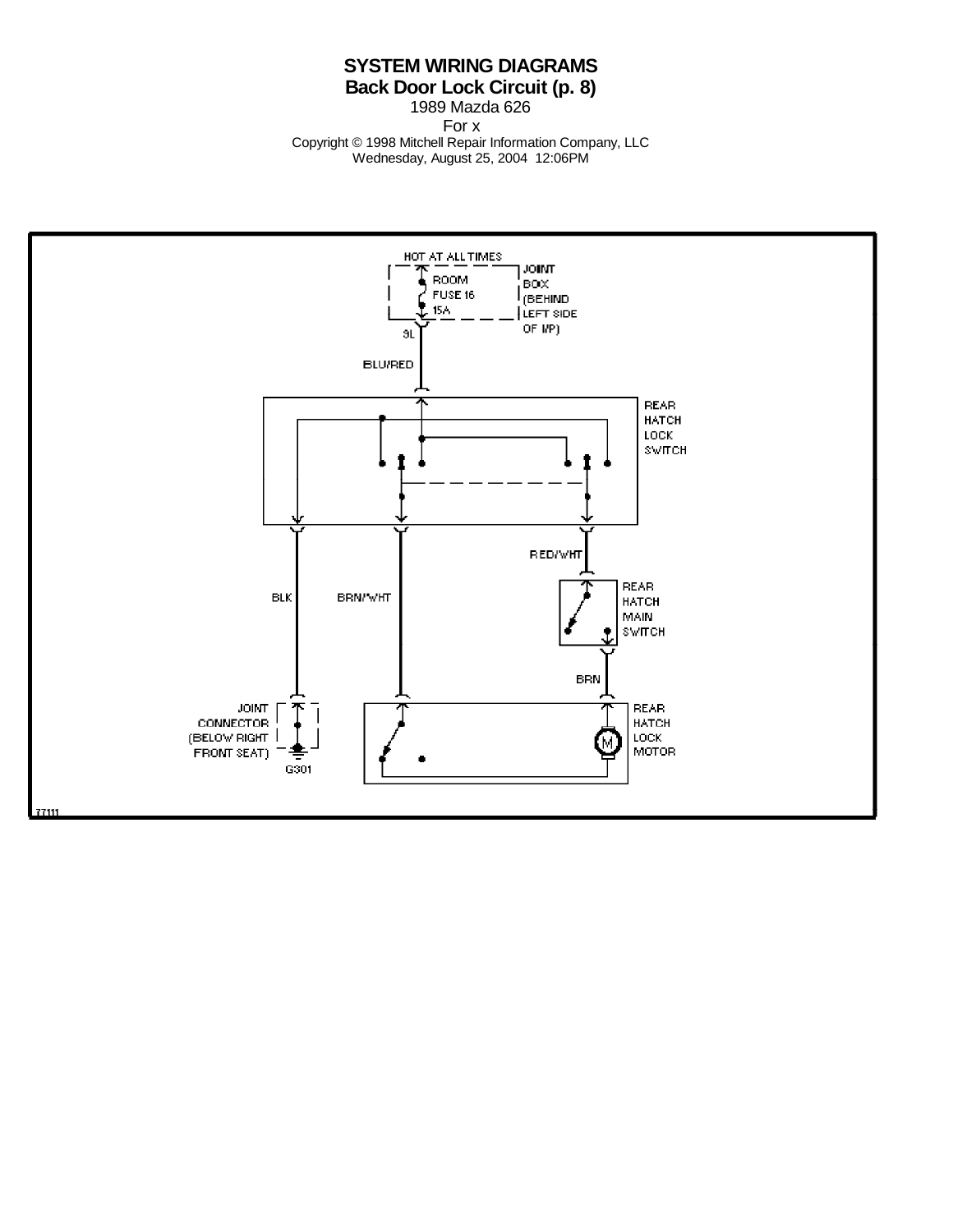## **SYSTEM WIRING DIAGRAMS Back Door Lock Circuit (p. 8)**

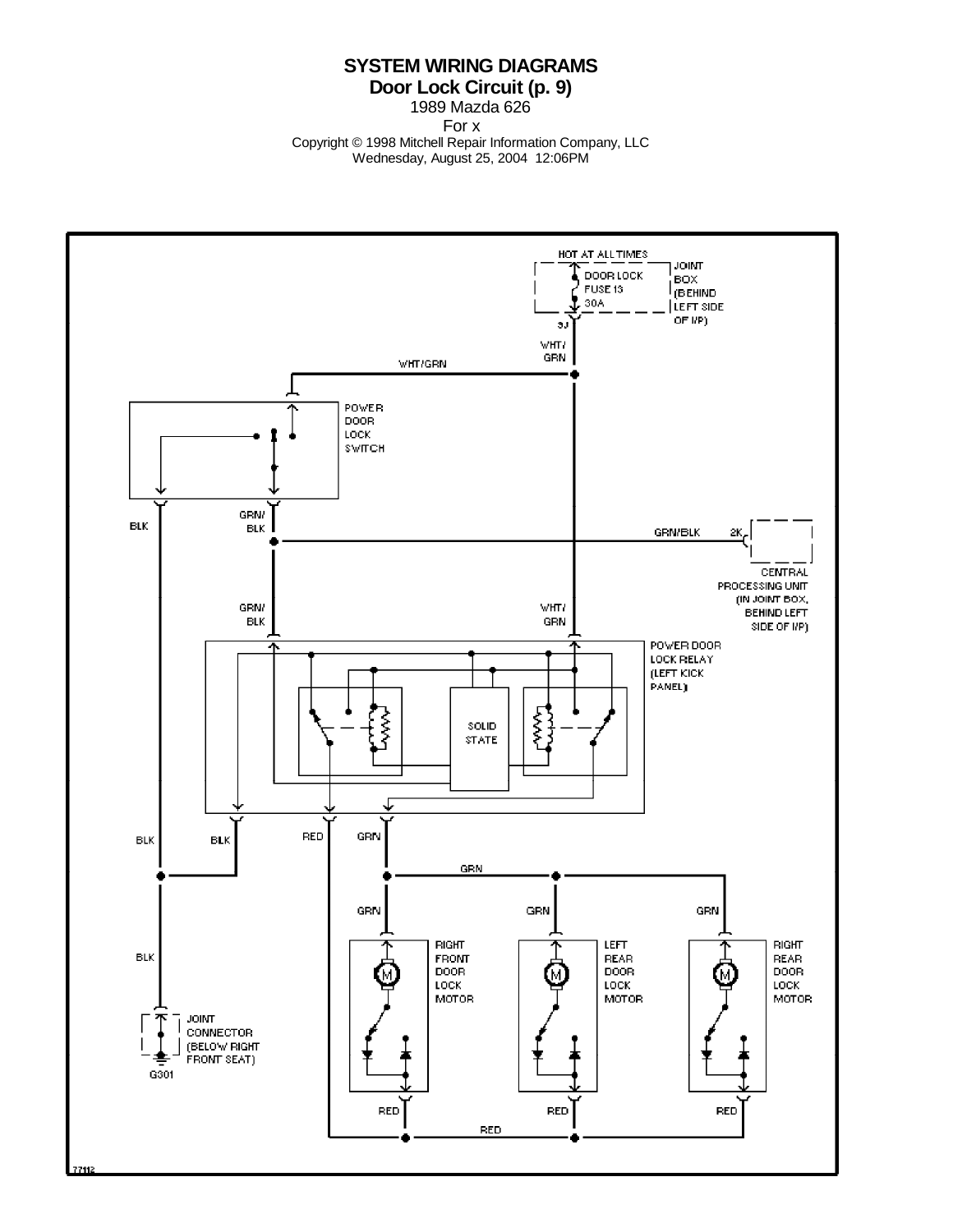### **SYSTEM WIRING DIAGRAMS Door Lock Circuit (p. 9)**

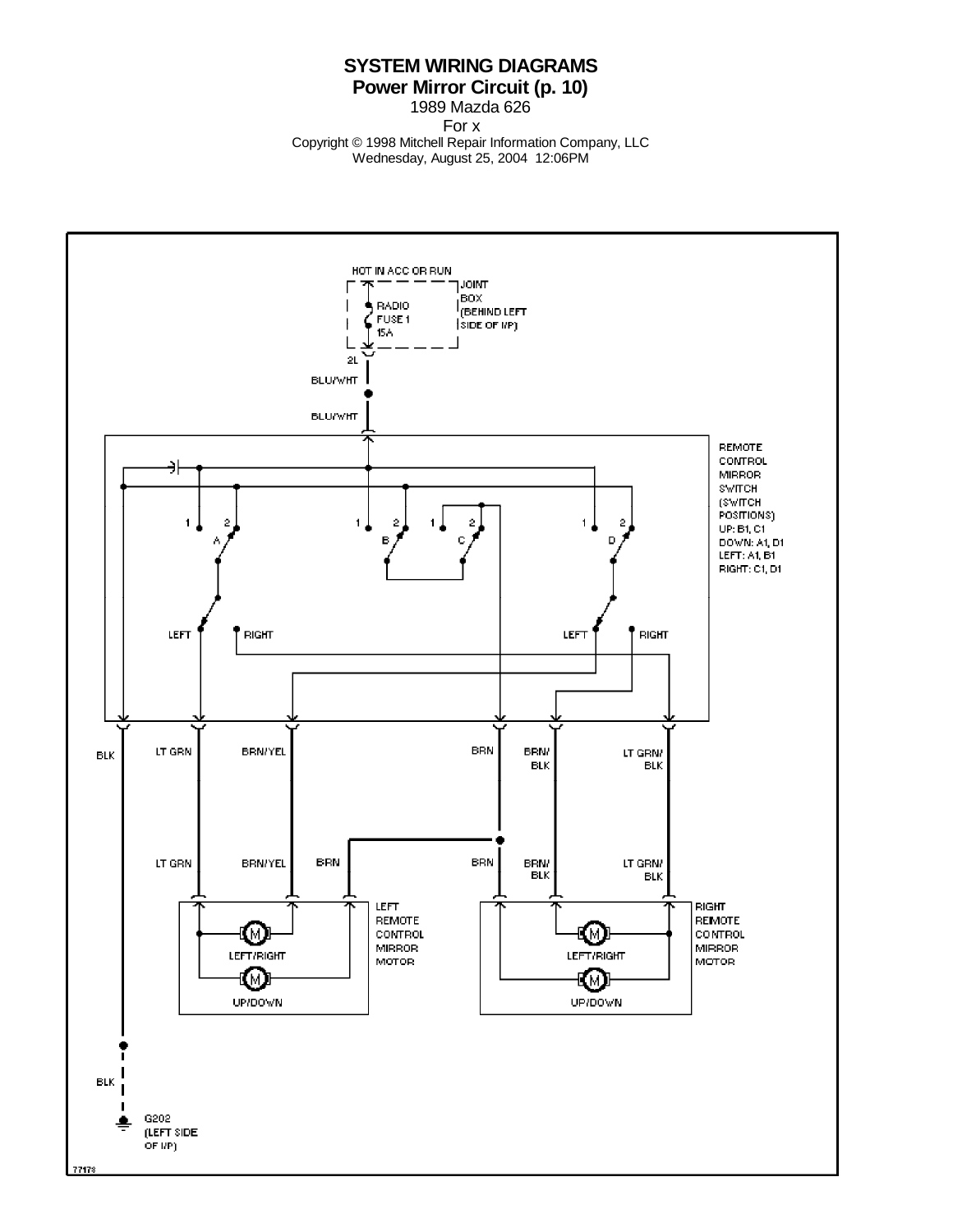### **SYSTEM WIRING DIAGRAMS Power Mirror Circuit (p. 10)**

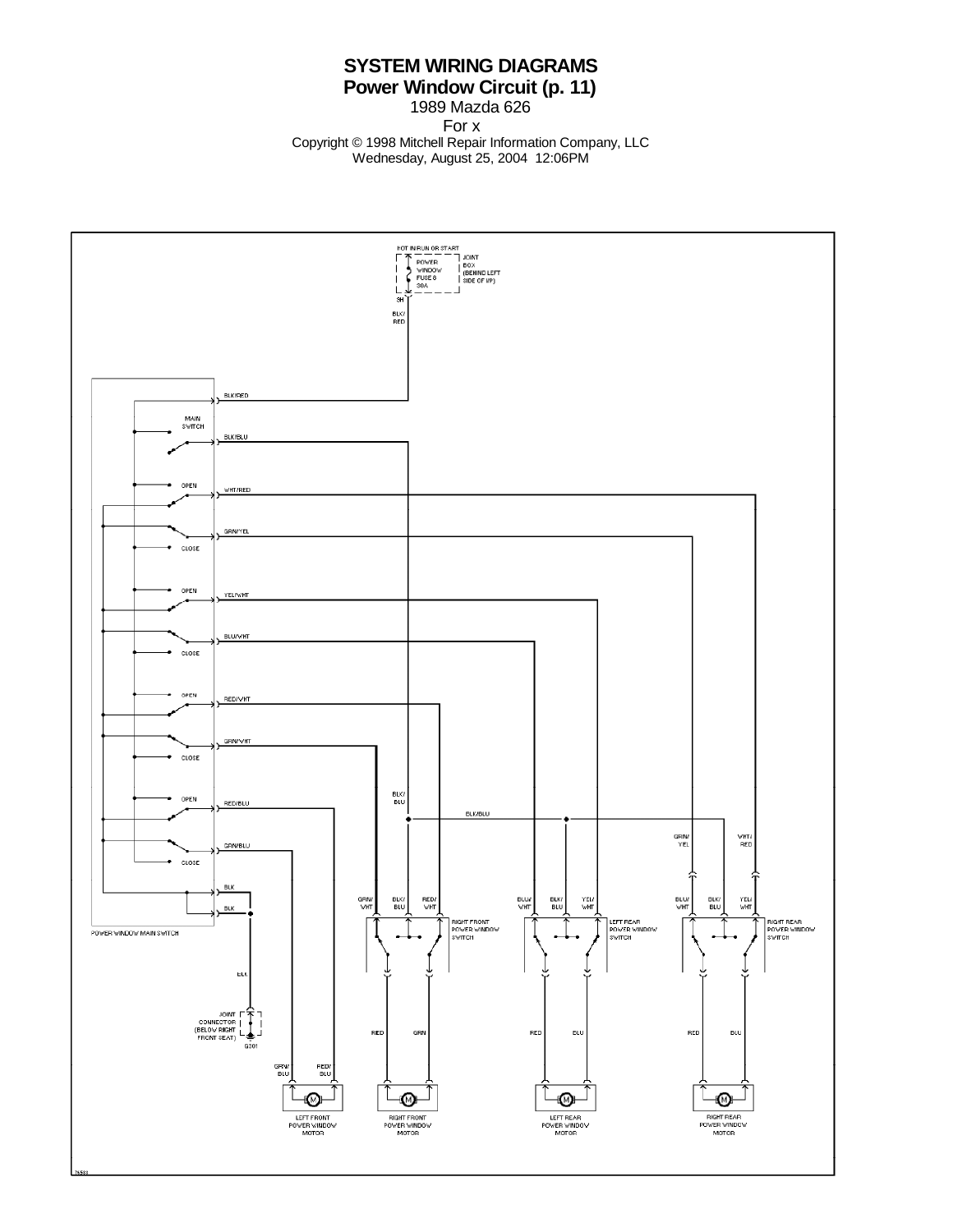## **SYSTEM WIRING DIAGRAMS Power Window Circuit (p. 11)**

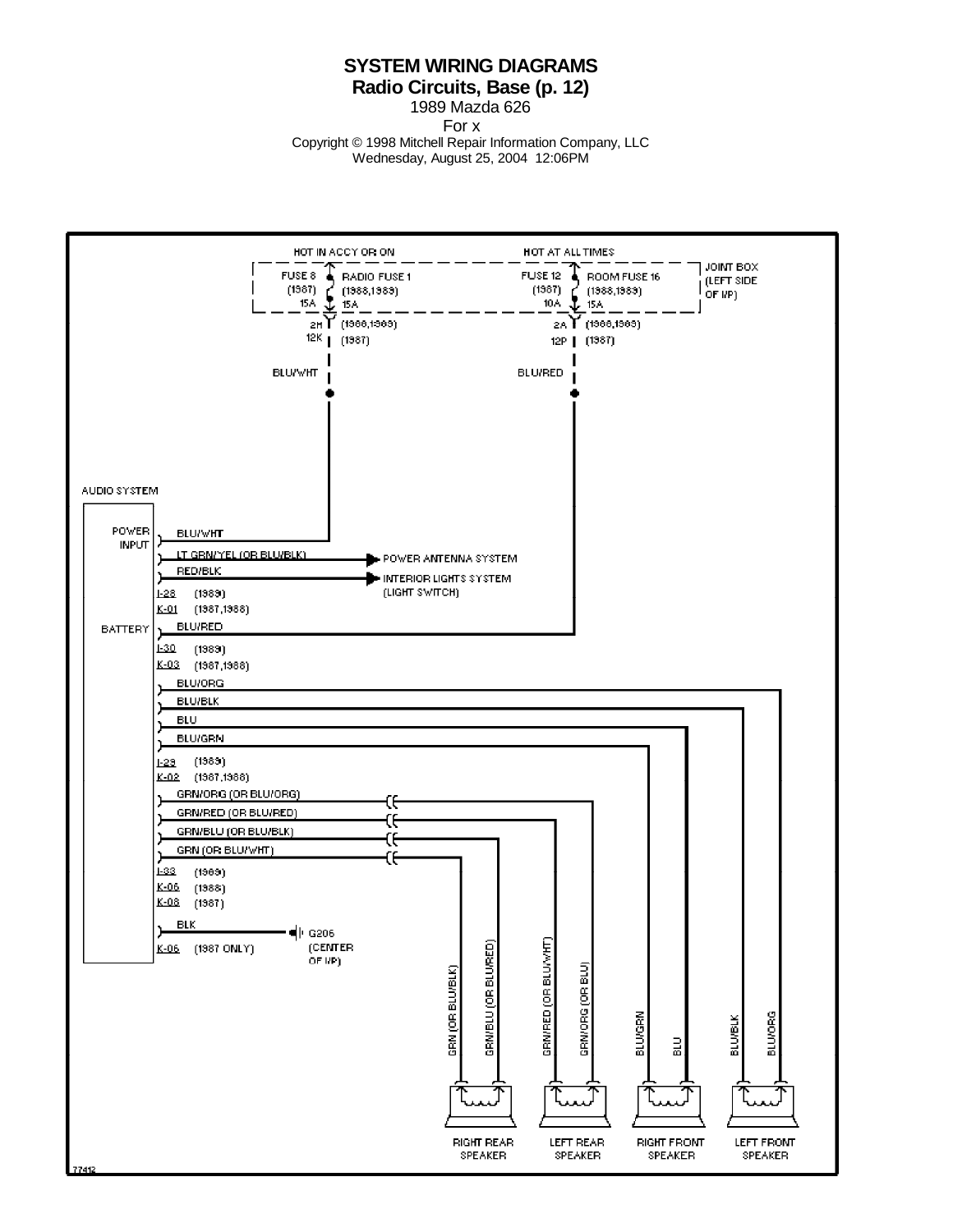#### **SYSTEM WIRING DIAGRAMS Radio Circuits, Base (p. 12)**

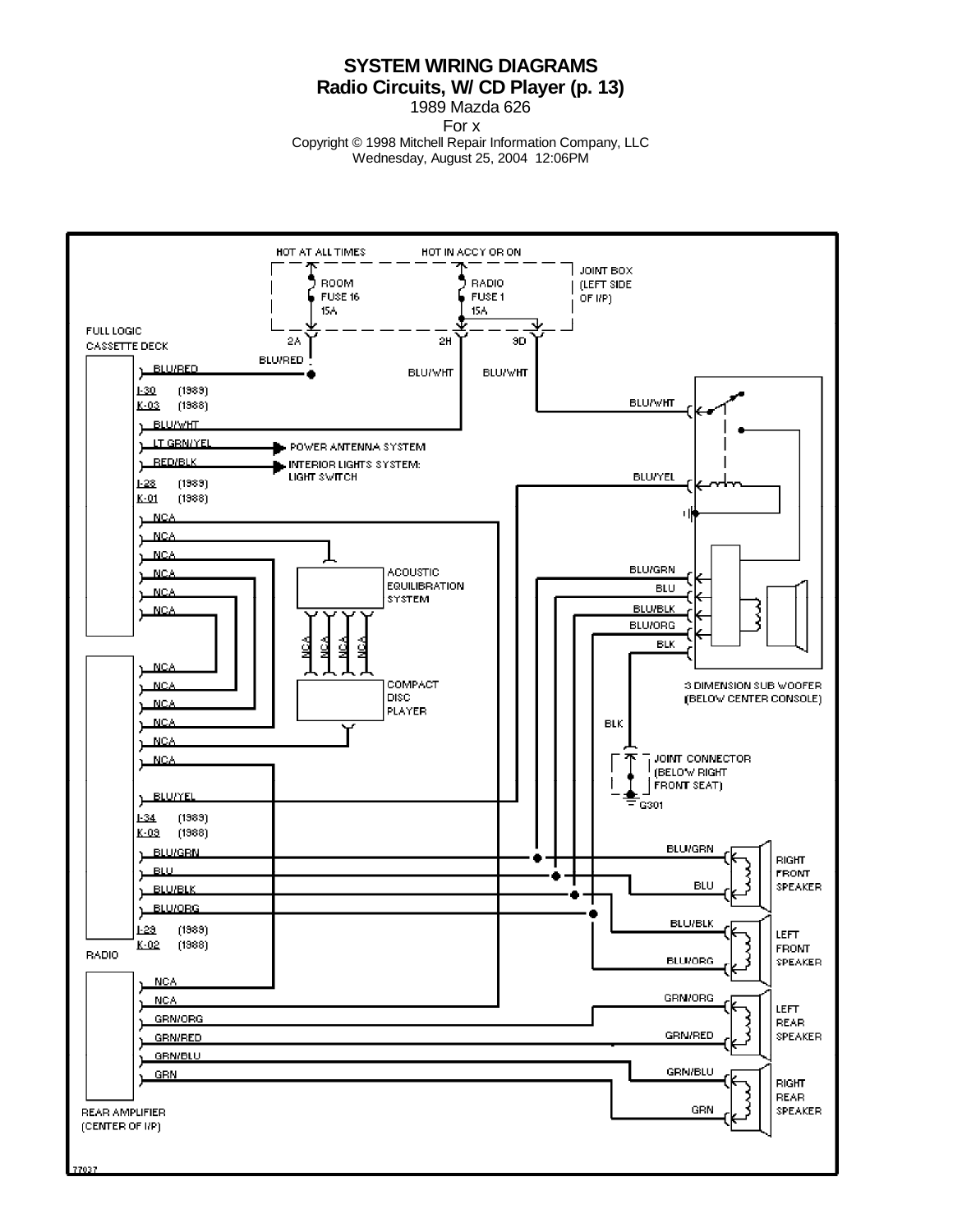### **SYSTEM WIRING DIAGRAMS Radio Circuits, W/ CD Player (p. 13)**

1989 Mazda 626

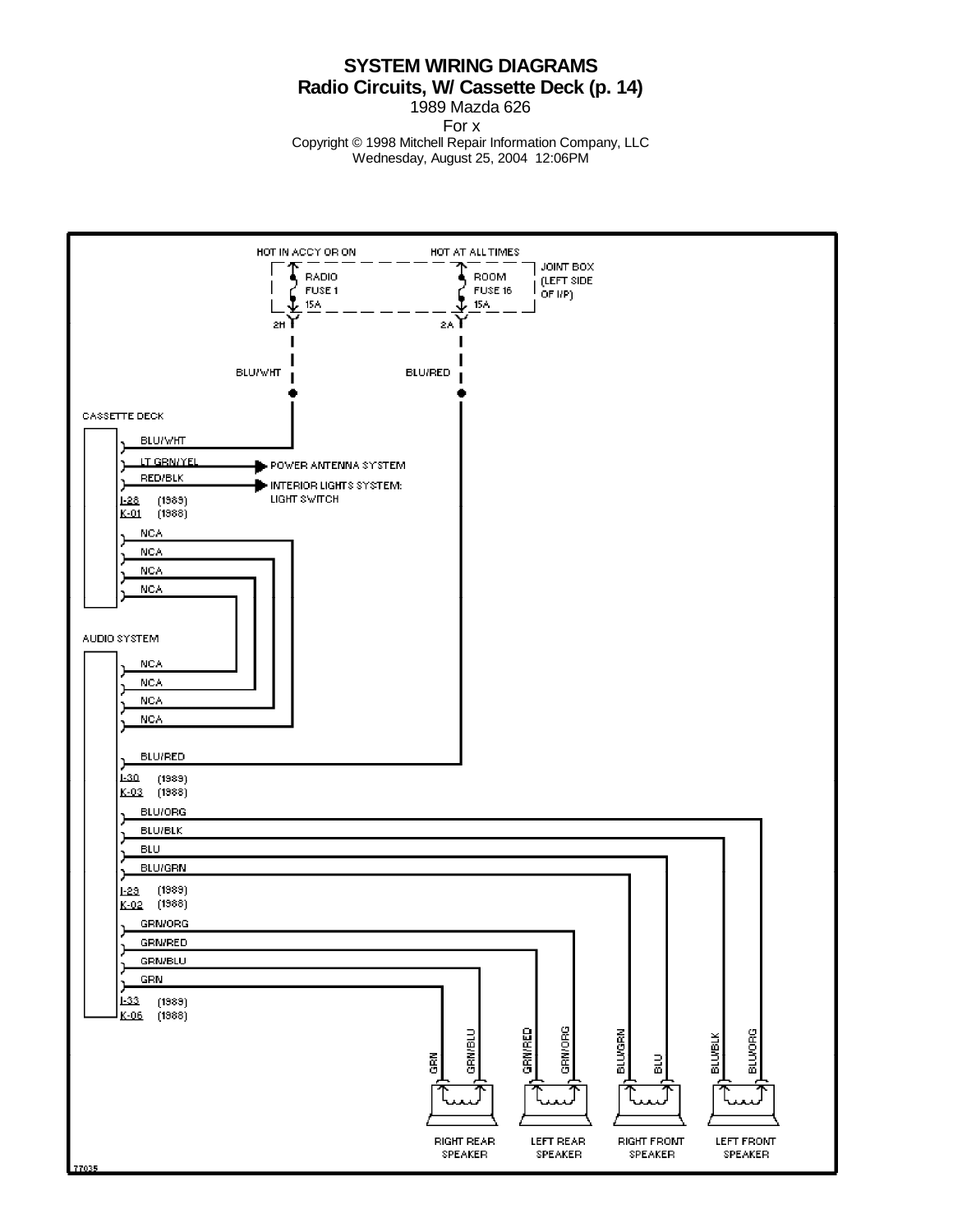**SYSTEM WIRING DIAGRAMS Radio Circuits, W/ Cassette Deck (p. 14)**

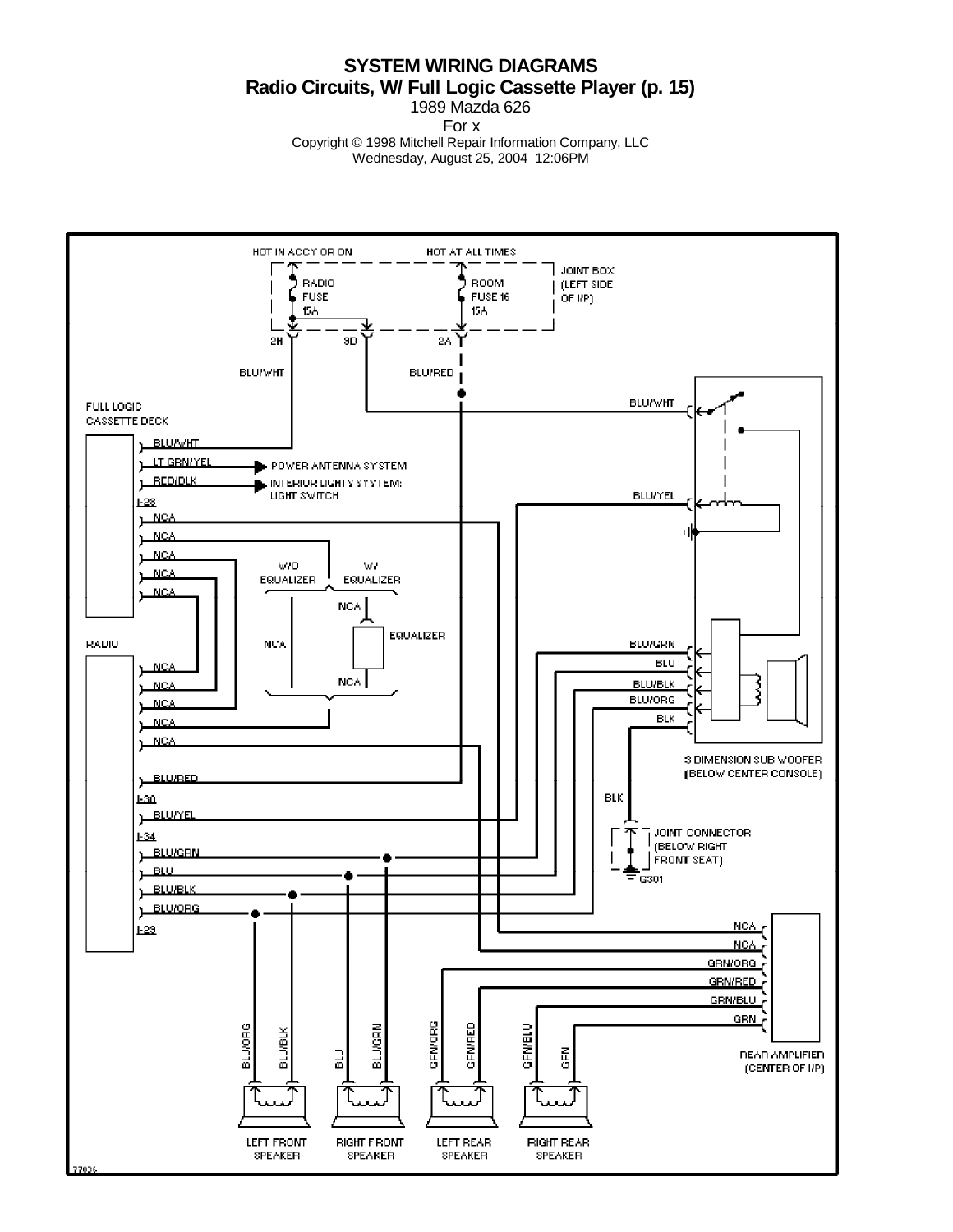#### **SYSTEM WIRING DIAGRAMS Radio Circuits, W/ Full Logic Cassette Player (p. 15)** 1989 Mazda 626

For x

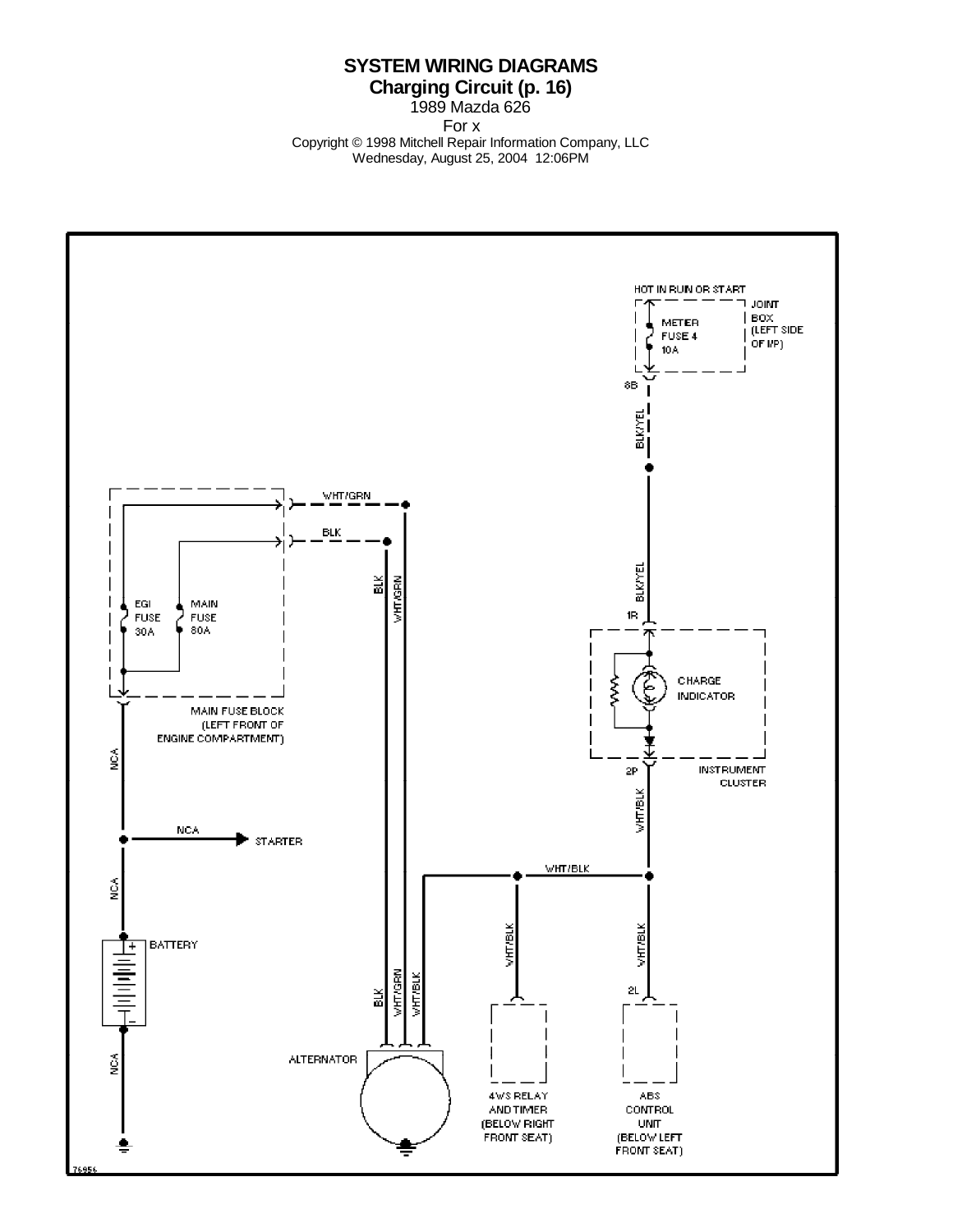## **SYSTEM WIRING DIAGRAMS Charging Circuit (p. 16)**

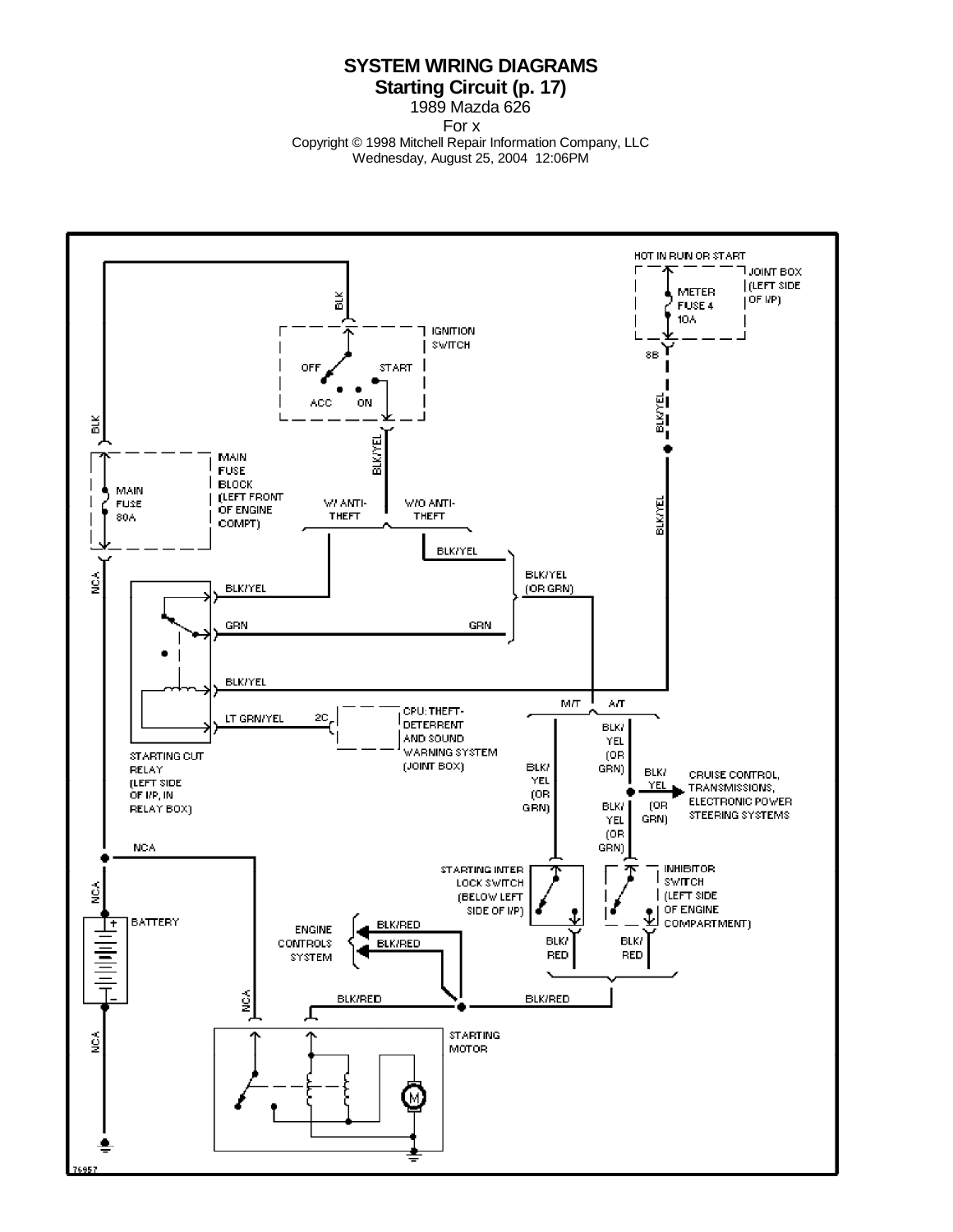#### **SYSTEM WIRING DIAGRAMS Starting Circuit (p. 17)**

1989 Mazda 626

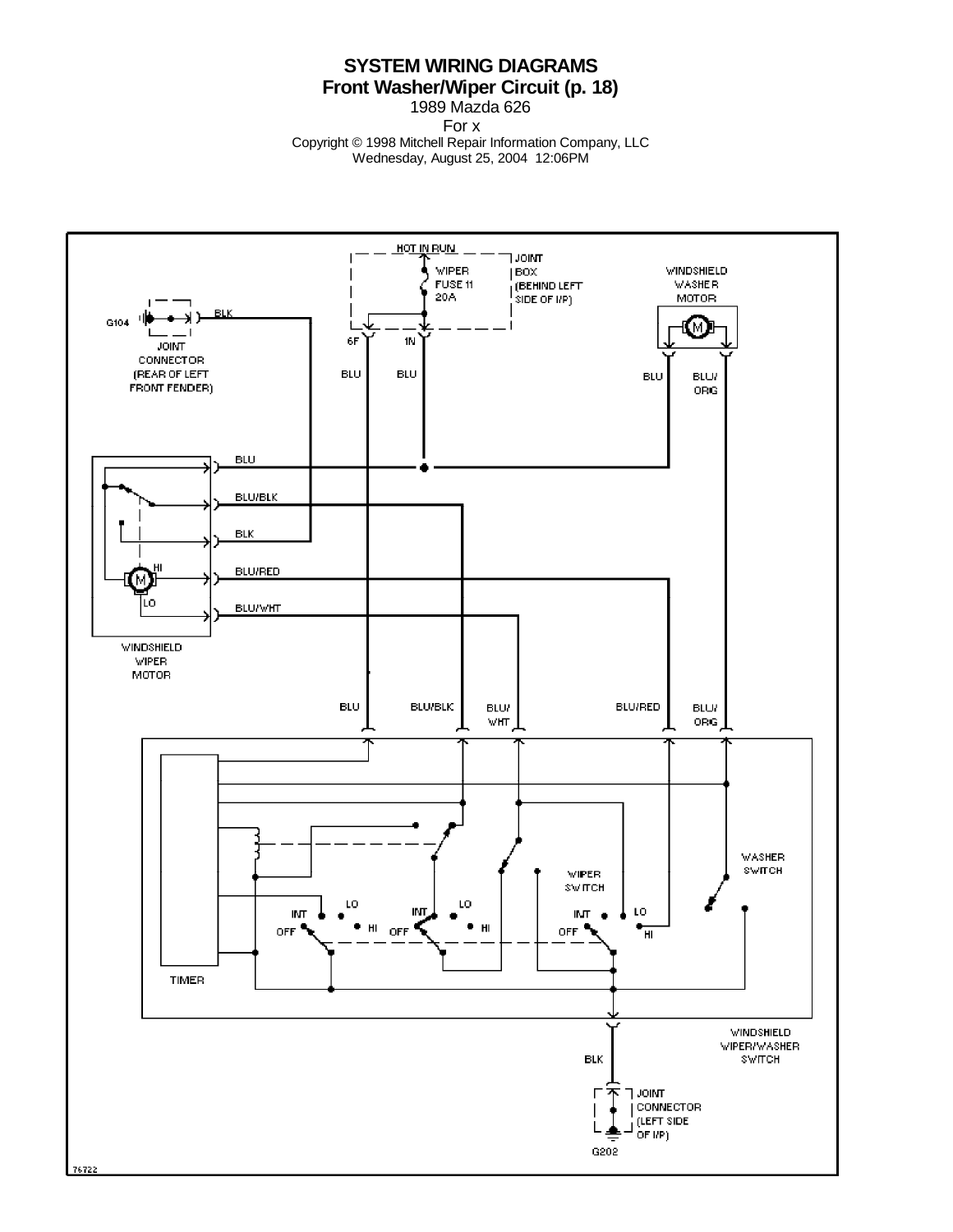## **SYSTEM WIRING DIAGRAMS Front Washer/Wiper Circuit (p. 18)**

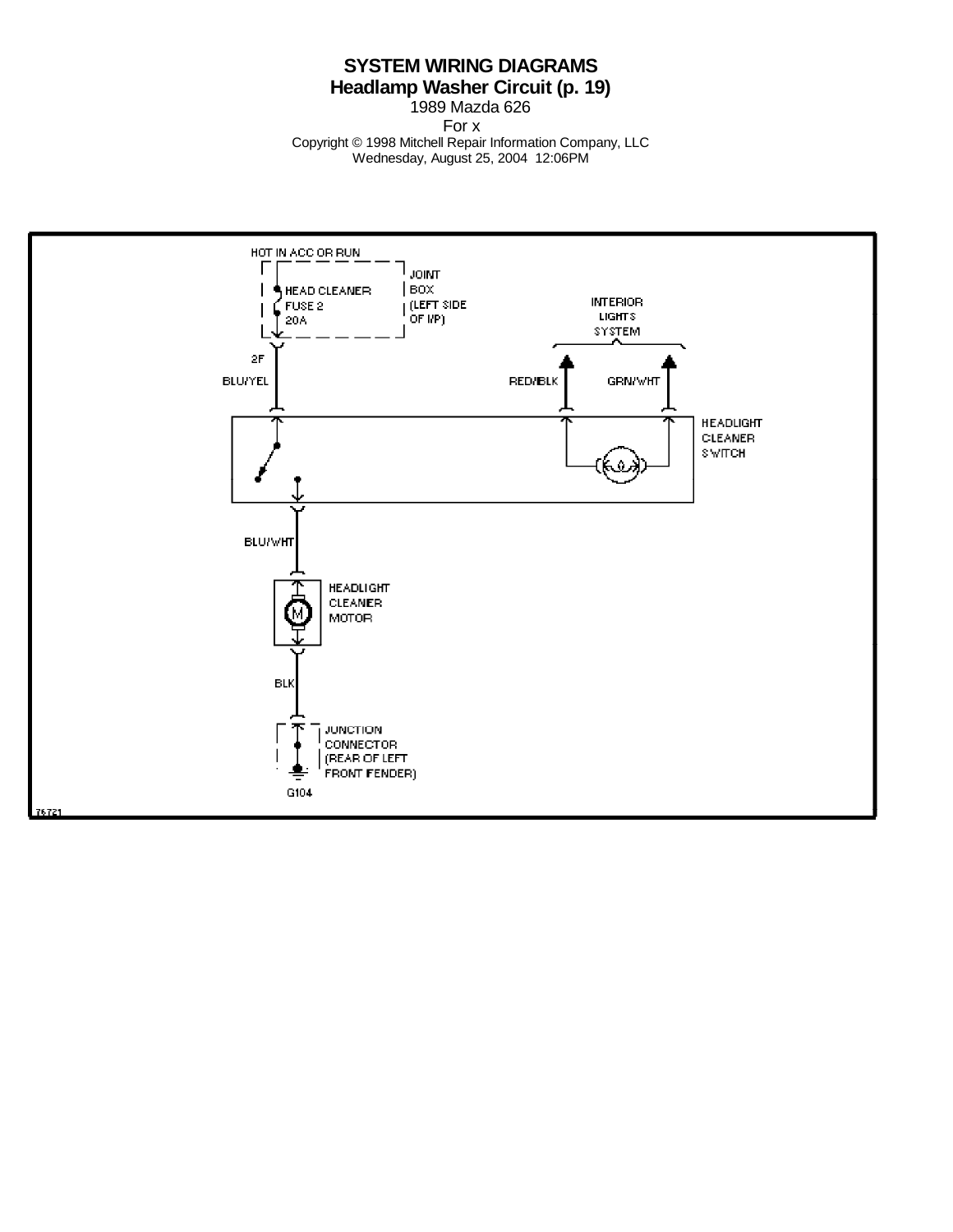## **SYSTEM WIRING DIAGRAMS Headlamp Washer Circuit (p. 19)**

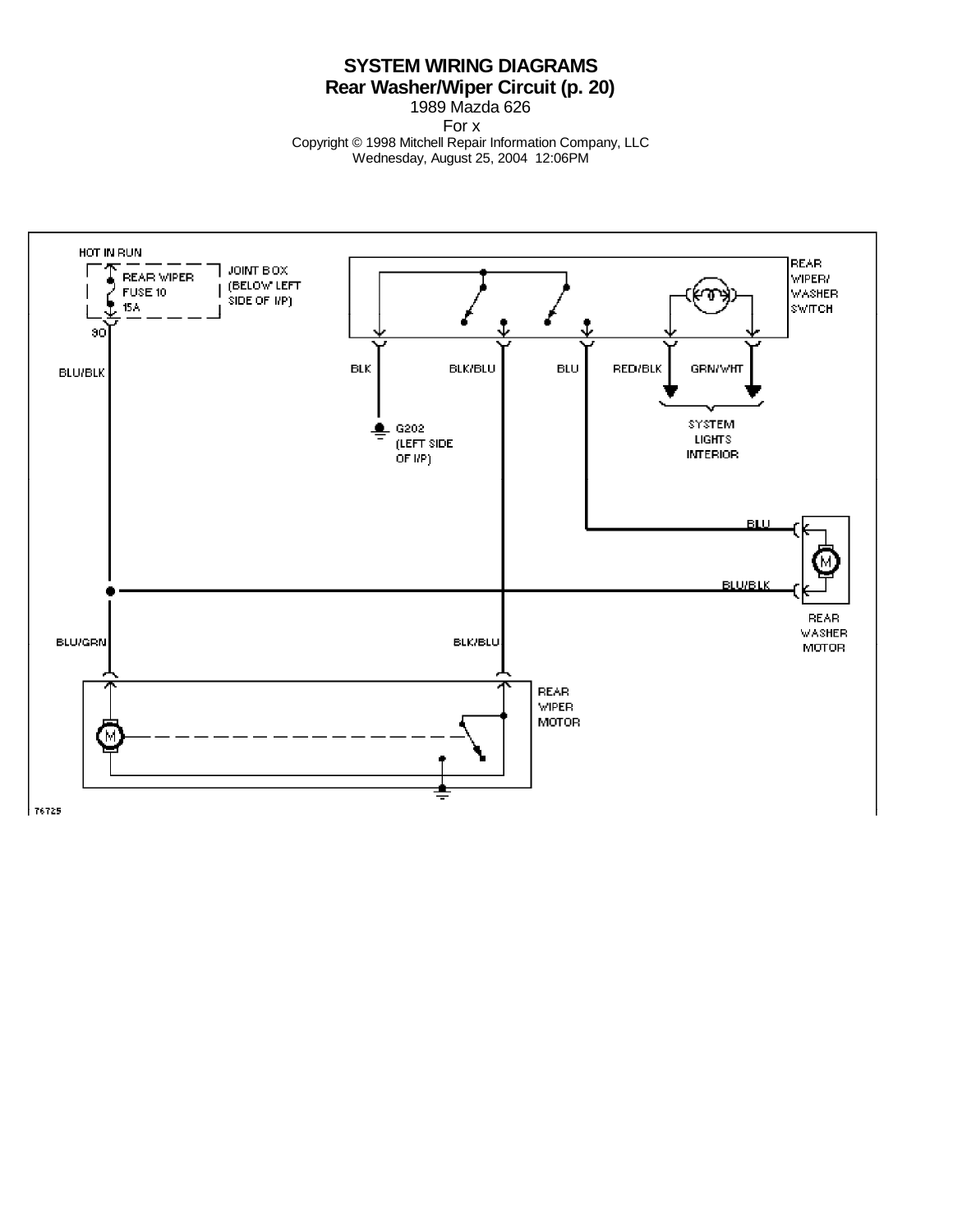## **SYSTEM WIRING DIAGRAMS Rear Washer/Wiper Circuit (p. 20)**

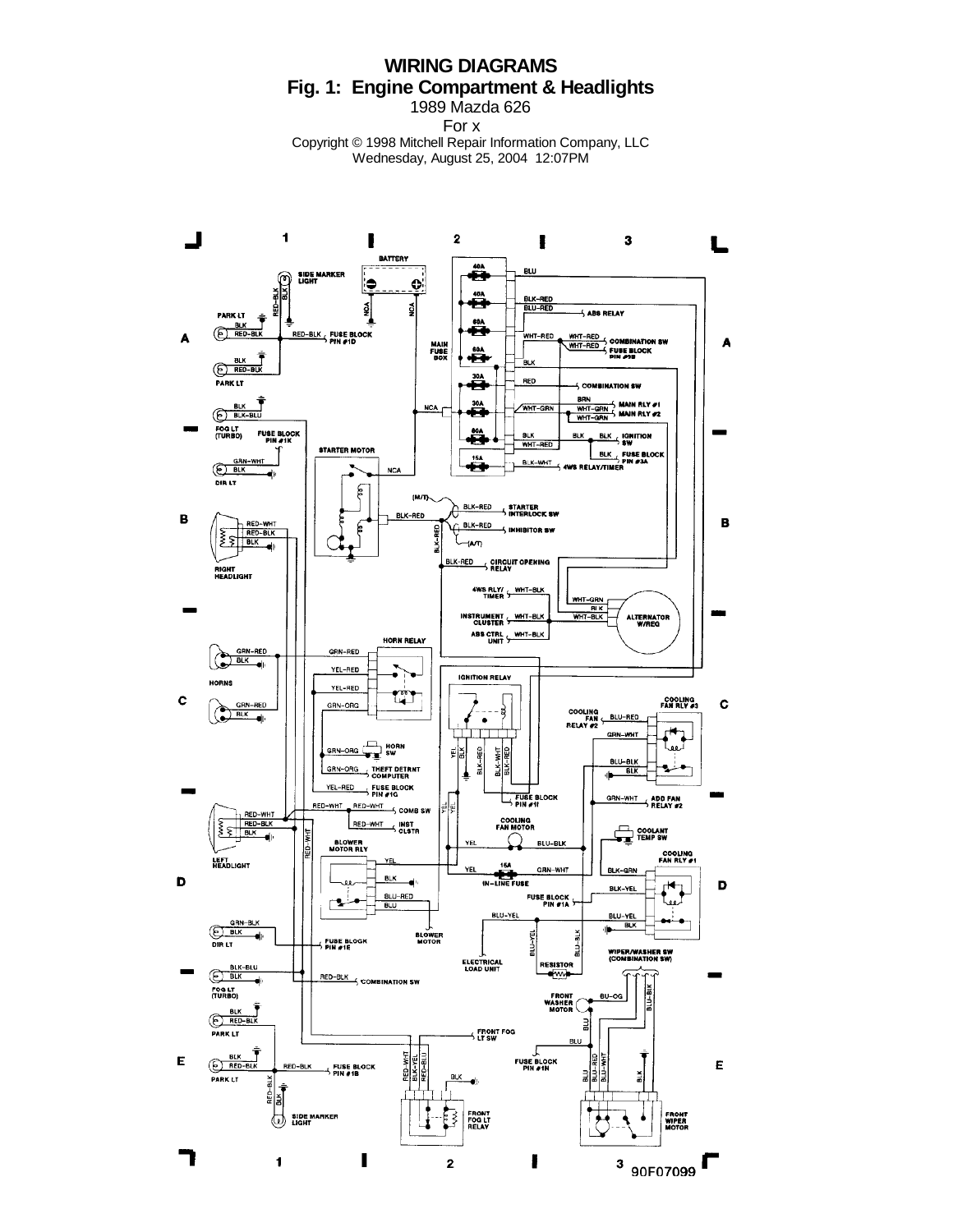# **WIRING DIAGRAMS Fig. 1: Engine Compartment & Headlights**

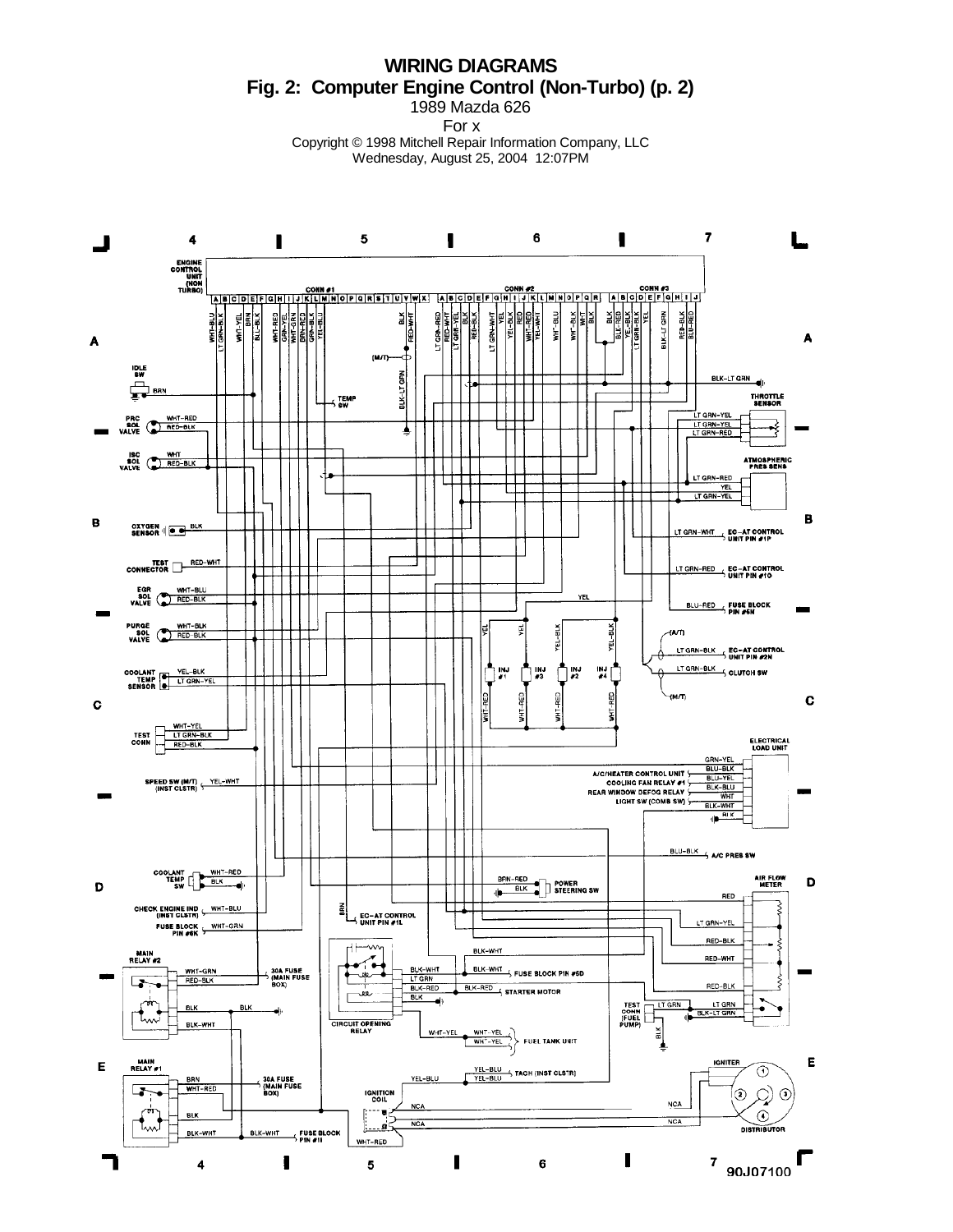**WIRING DIAGRAMS Fig. 2: Computer Engine Control (Non-Turbo) (p. 2)** 1989 Mazda 626

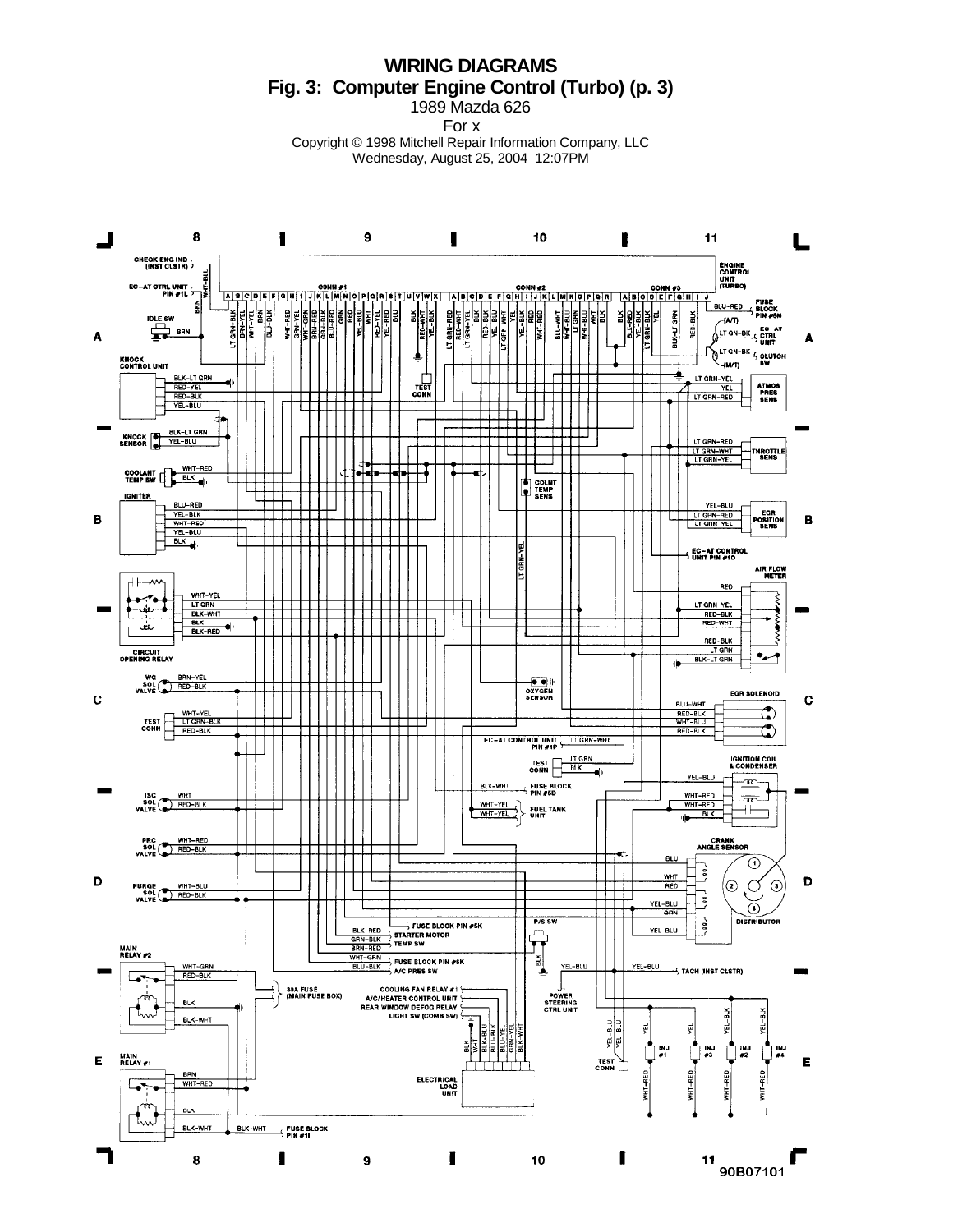**WIRING DIAGRAMS Fig. 3: Computer Engine Control (Turbo) (p. 3)** 1989 Mazda 626

For x

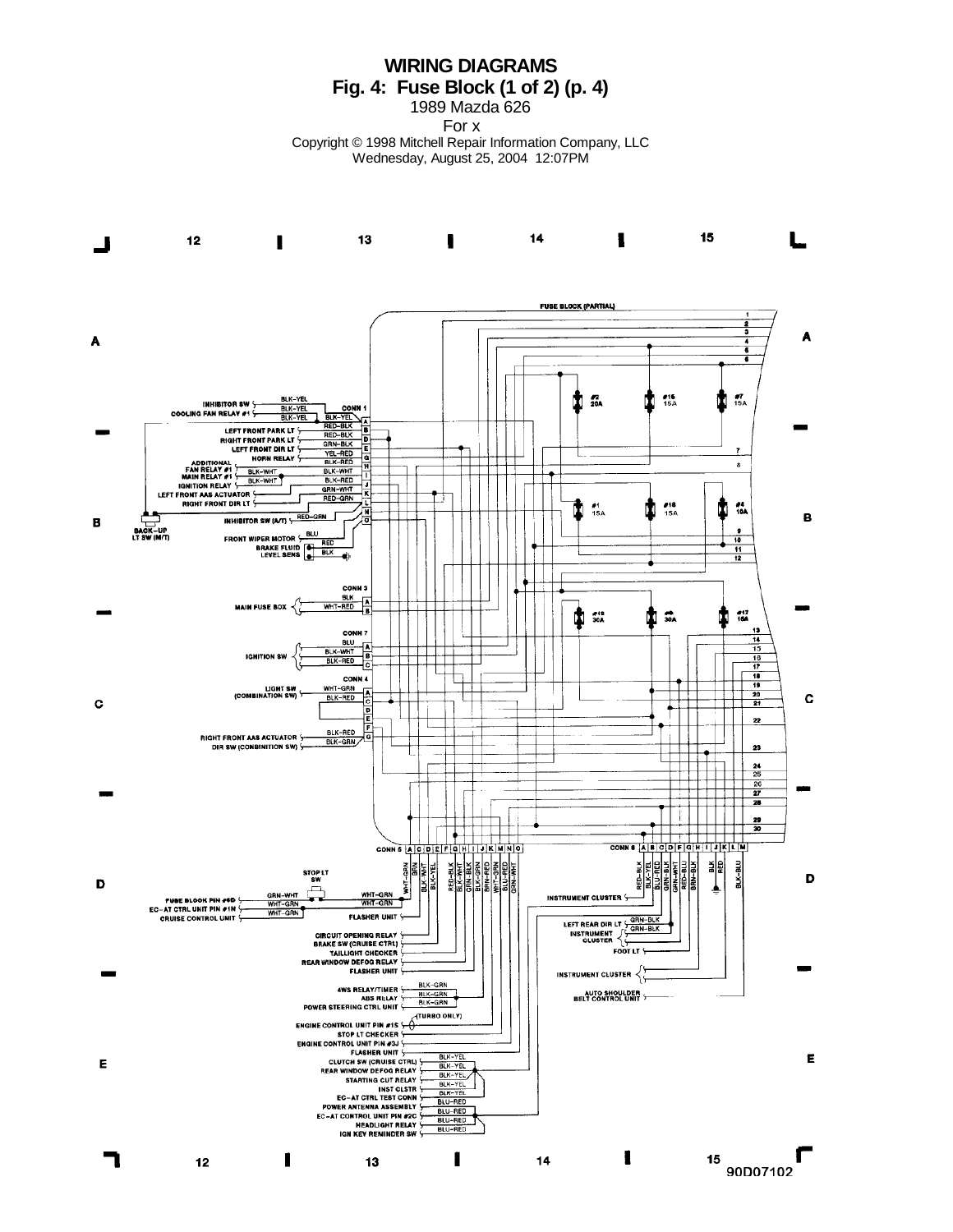**WIRING DIAGRAMS Fig. 4: Fuse Block (1 of 2) (p. 4)**

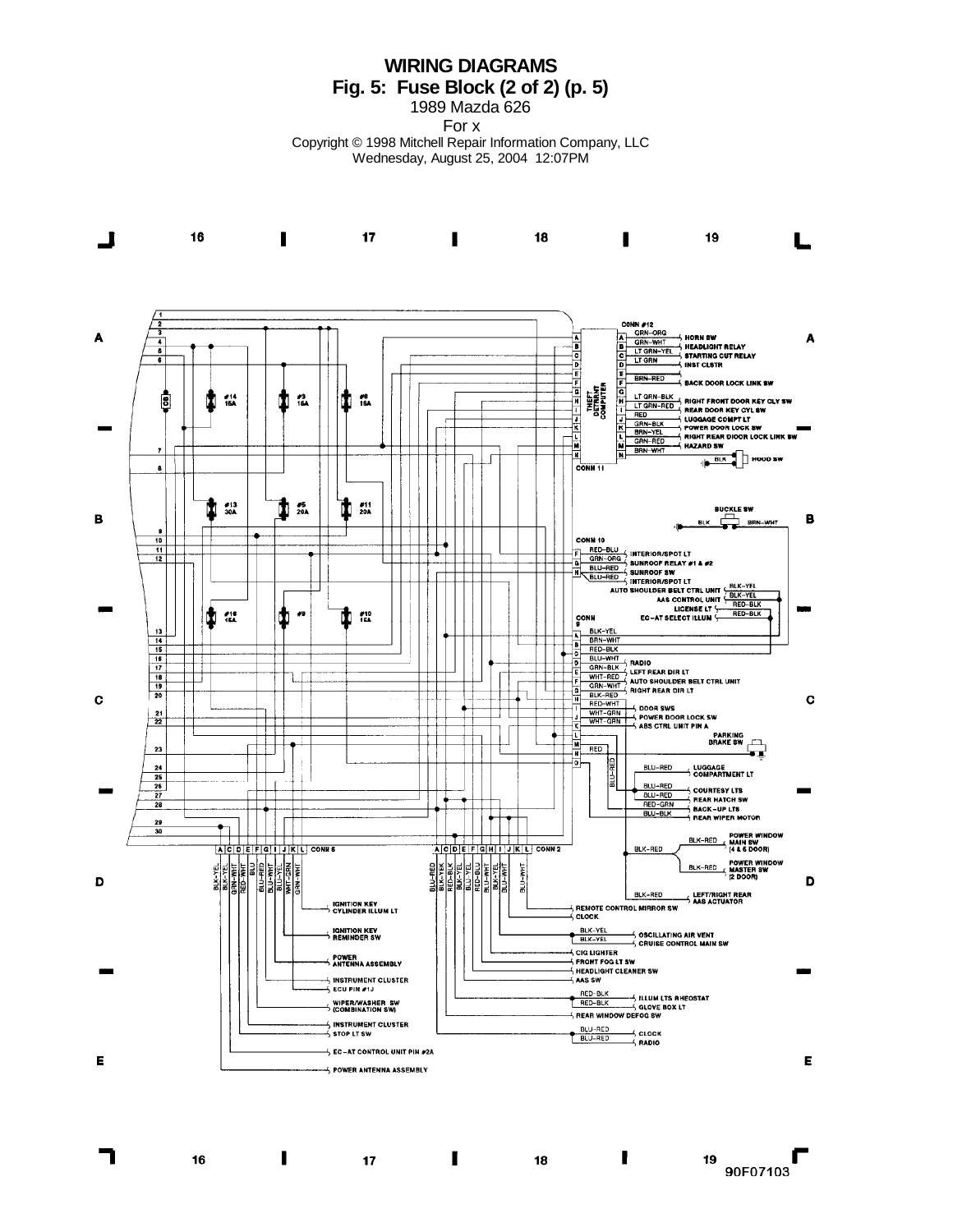**WIRING DIAGRAMS Fig. 5: Fuse Block (2 of 2) (p. 5)**

1989 Mazda 626

For x

Copyright © 1998 Mitchell Repair Information Company, LLC Wednesday, August 25, 2004 12:07PM



16

П

 $17$ 

 $\blacksquare$ 

ı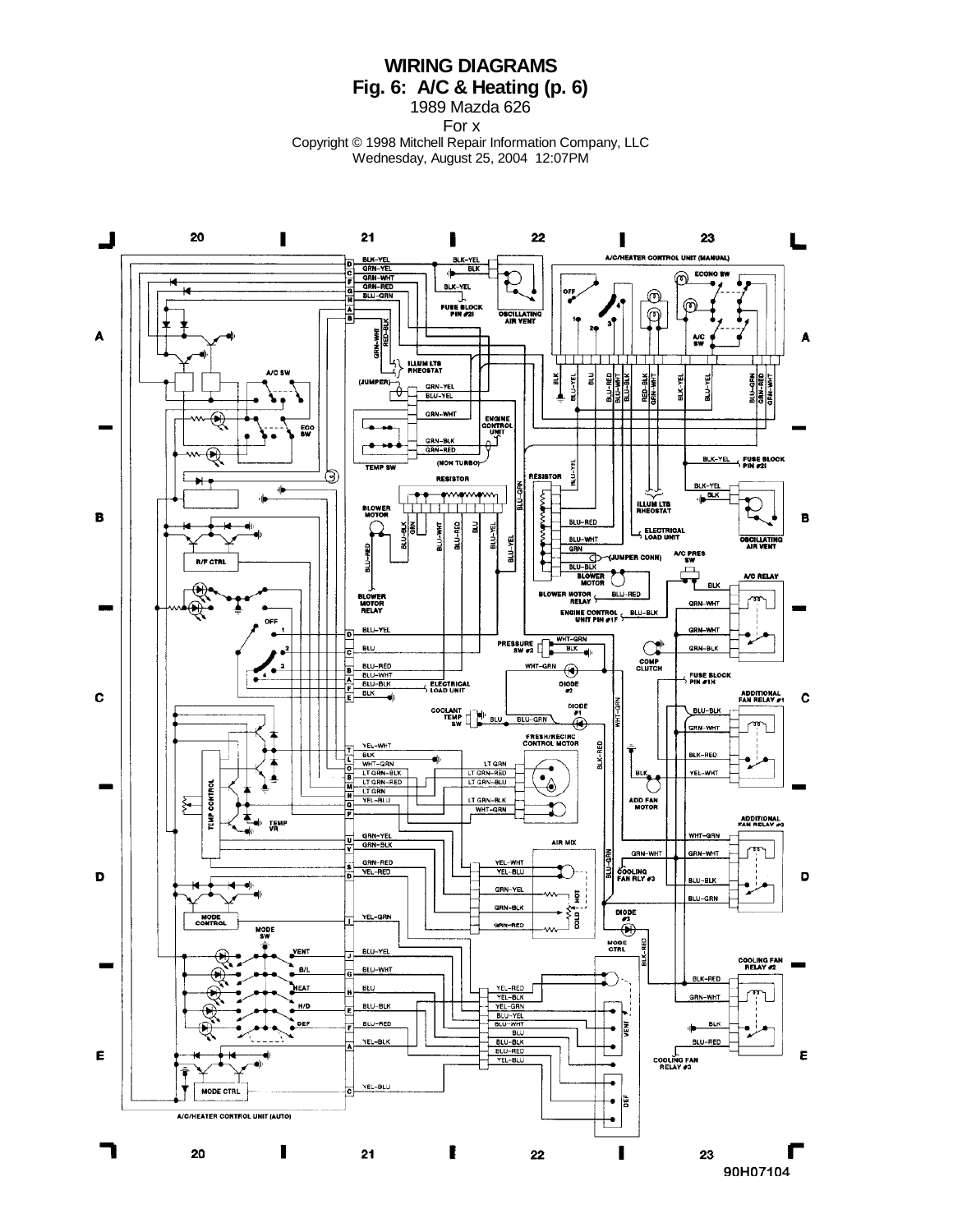**WIRING DIAGRAMS Fig. 6: A/C & Heating (p. 6)**

1989 Mazda 626 For x

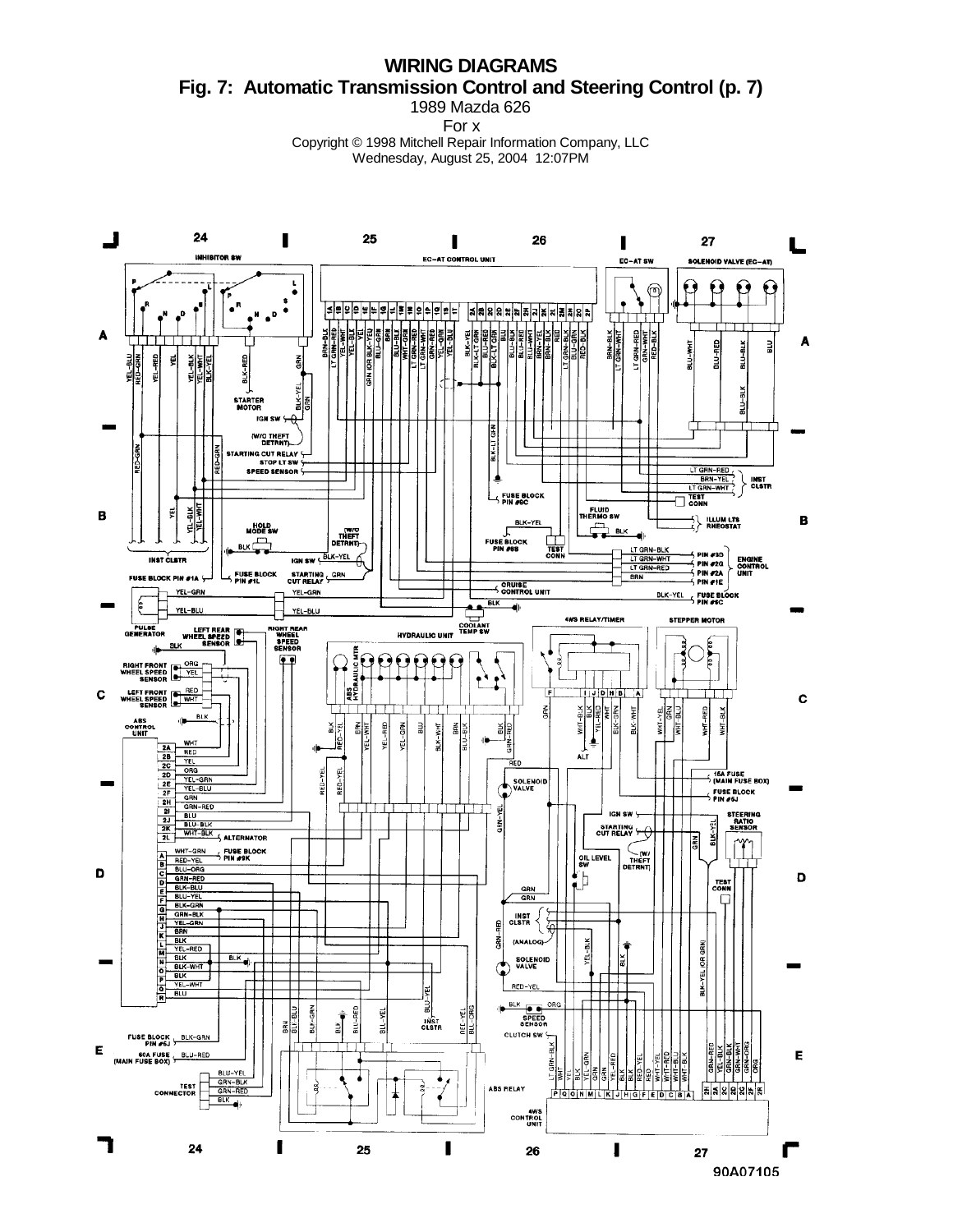**WIRING DIAGRAMS Fig. 7: Automatic Transmission Control and Steering Control (p. 7)** 1989 Mazda 626

For x

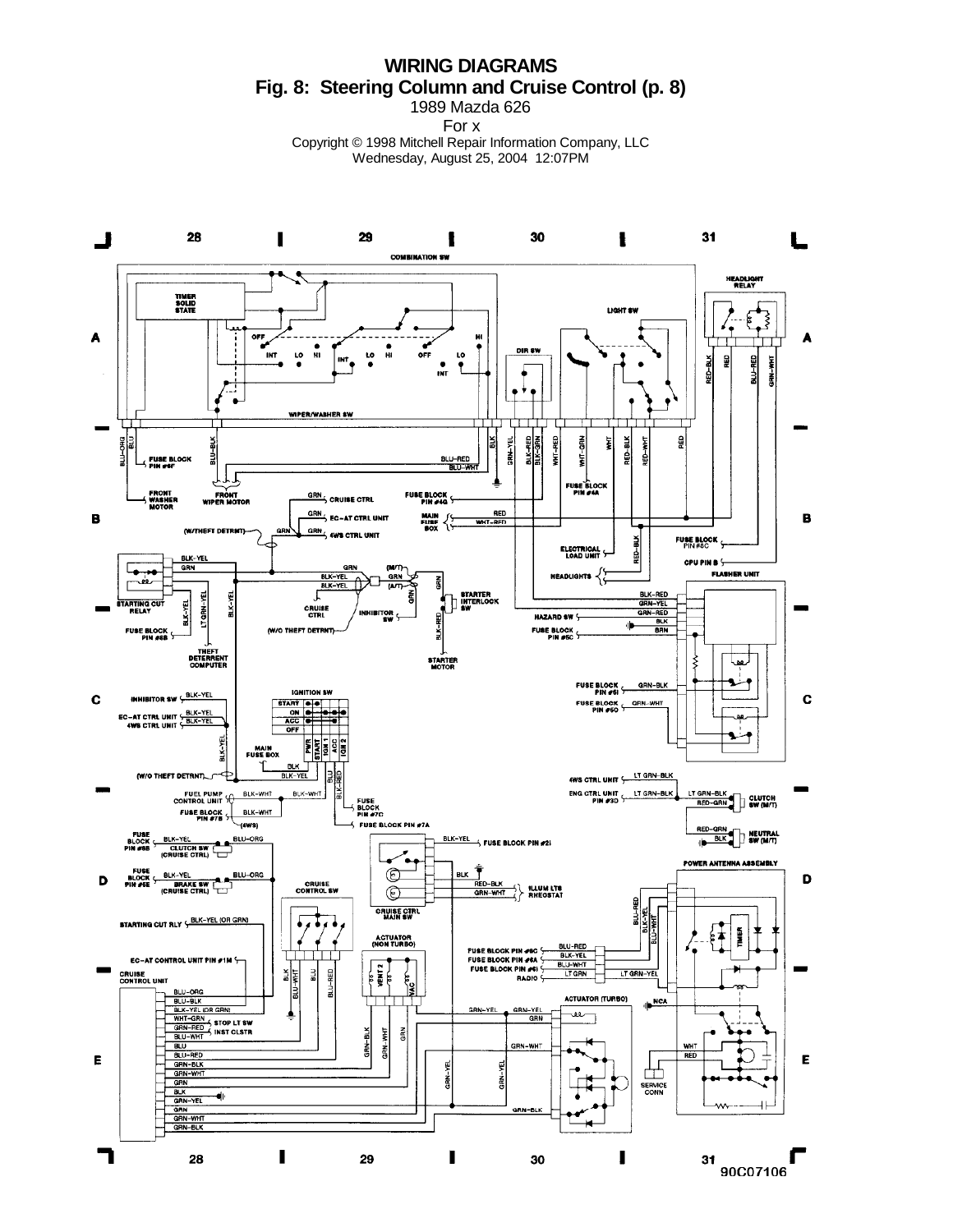**WIRING DIAGRAMS Fig. 8: Steering Column and Cruise Control (p. 8)**

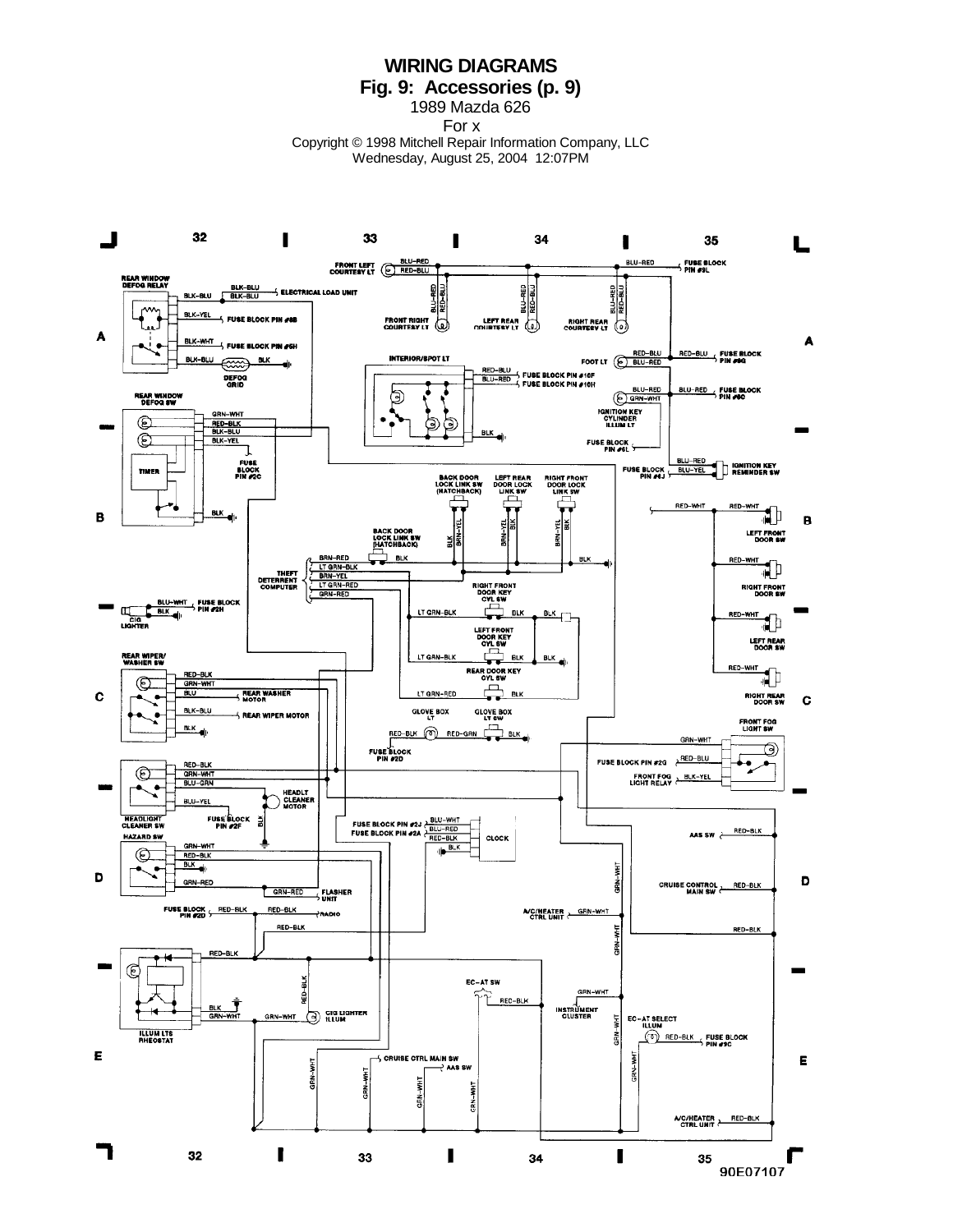**WIRING DIAGRAMS Fig. 9: Accessories (p. 9)**

1989 Mazda 626

For x

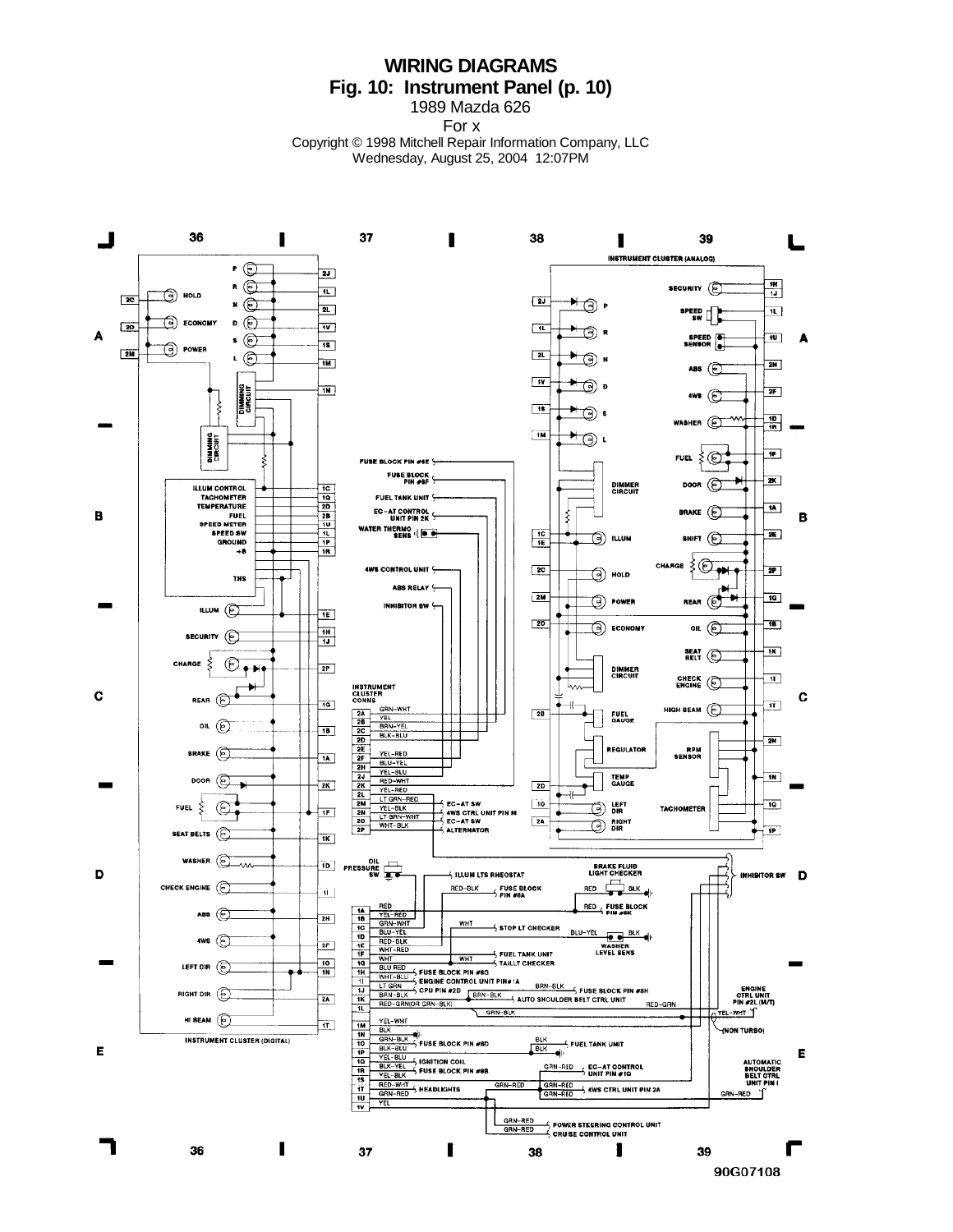## **WIRING DIAGRAMS Fig. 10: Instrument Panel (p. 10)**

1989 Mazda 626 For x

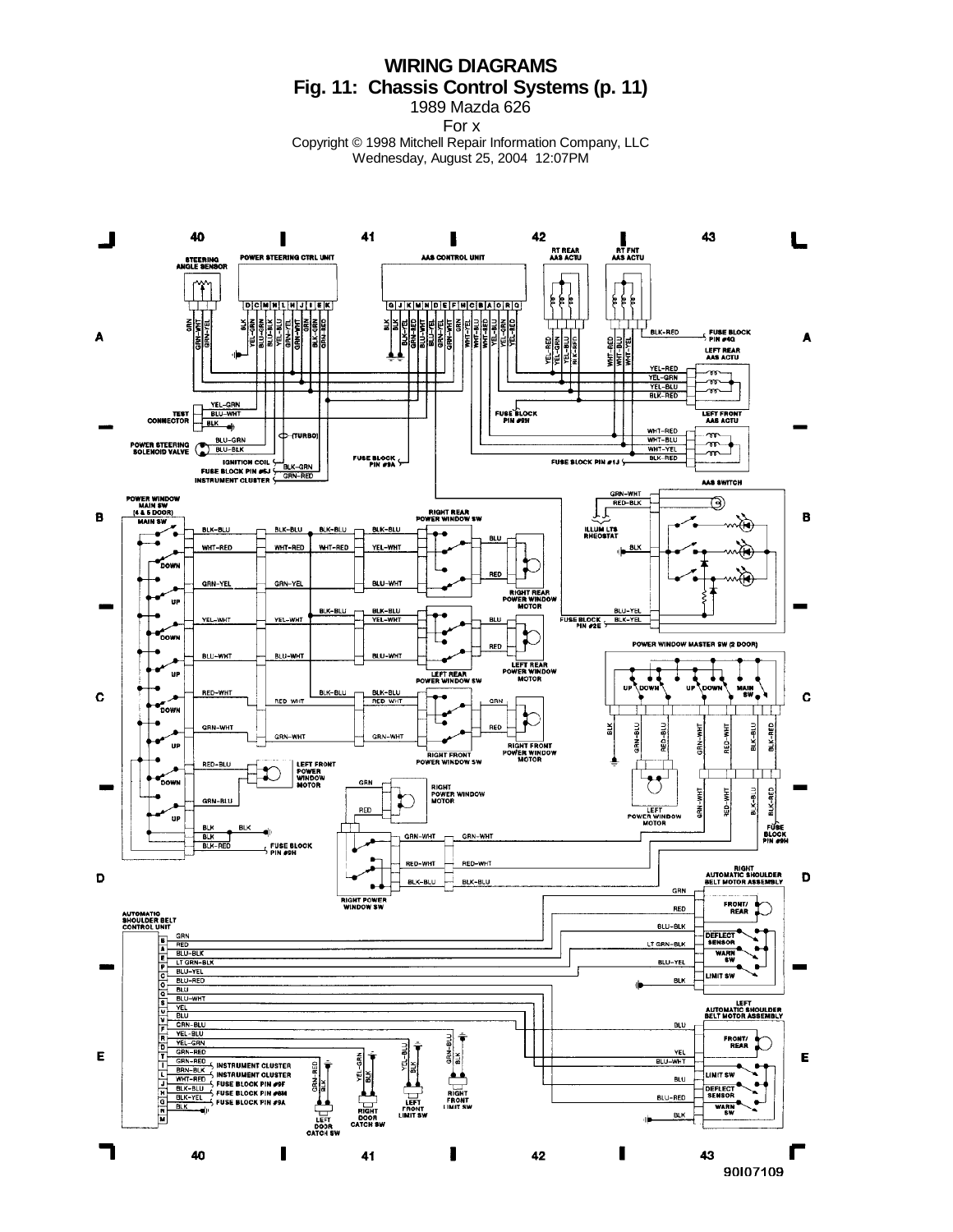## **WIRING DIAGRAMS Fig. 11: Chassis Control Systems (p. 11)**

1989 Mazda 626 For x